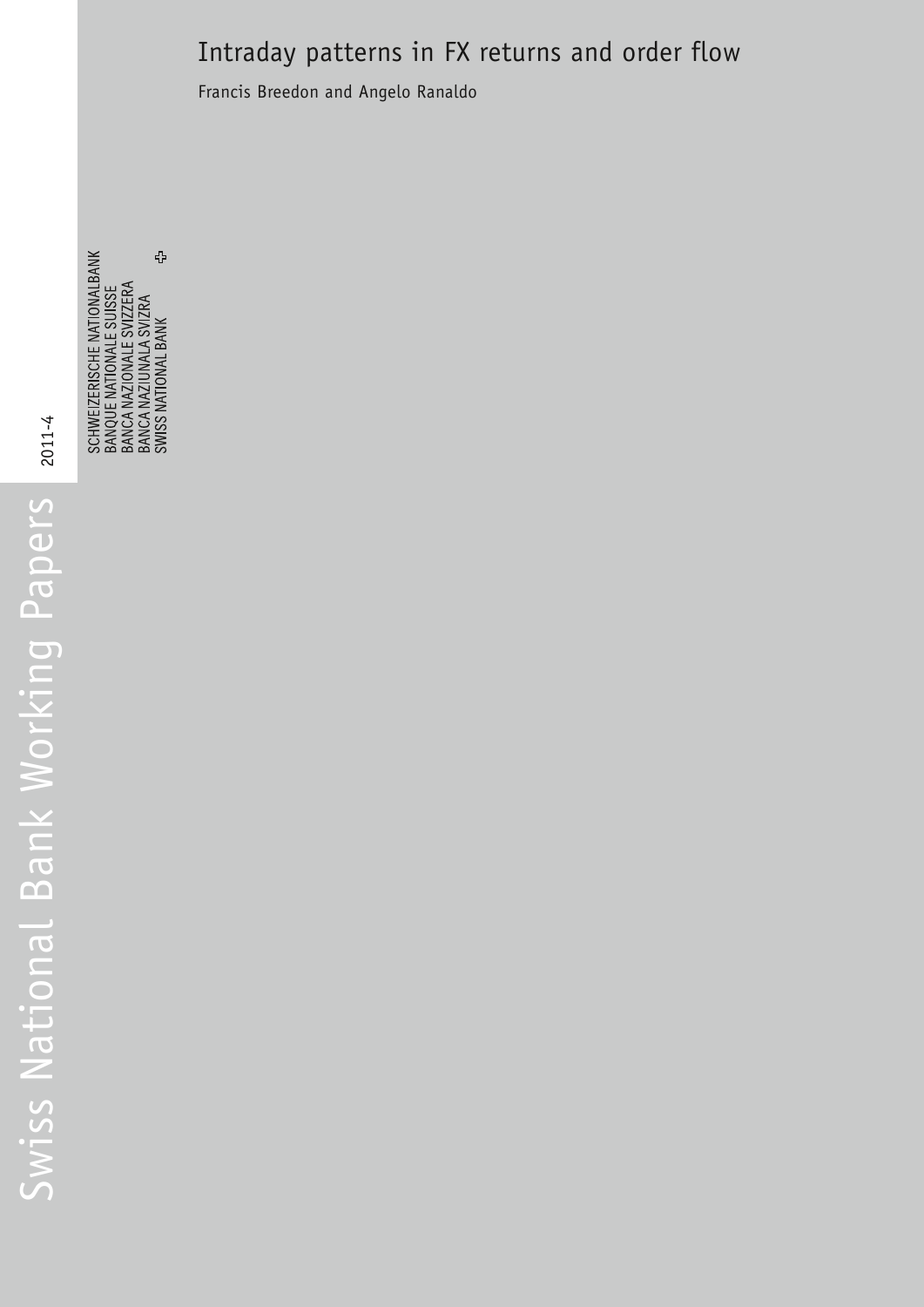# Intraday patterns in FX returns and order flow

Francis Breedon and Angelo Ranaldo

SCHWEIZERISCHE NATIONALBANK<br>BANQUE NATIONALE SUISSE<br>BANCA NAZIONALE SVIZZERA<br>BANCA NAZIUNALA SVIZZER<br>SWISS NATIONAL BANK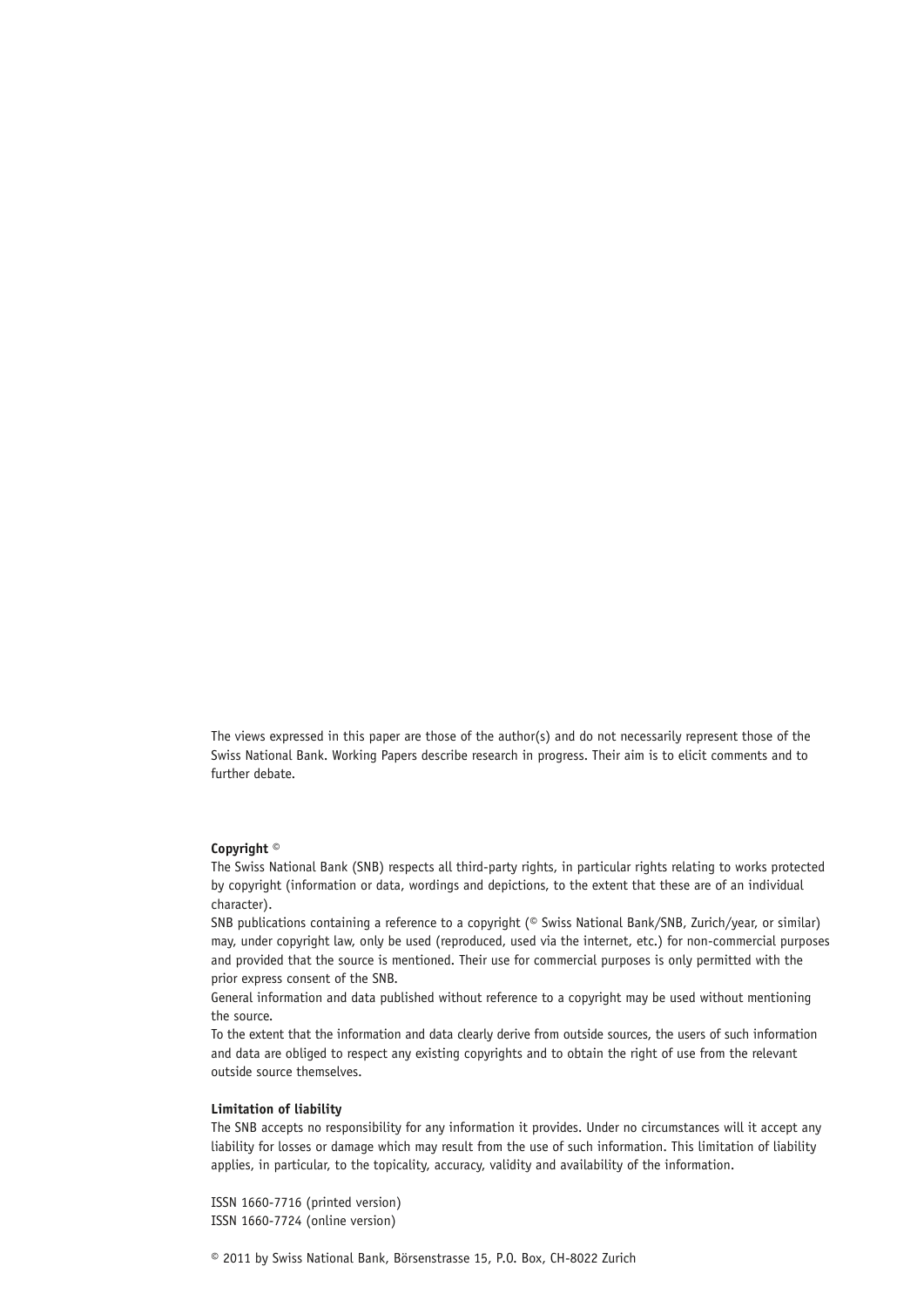The views expressed in this paper are those of the author(s) and do not necessarily represent those of the Swiss National Bank. Working Papers describe research in progress. Their aim is to elicit comments and to further debate.

#### **Copyright ©**

The Swiss National Bank (SNB) respects all third-party rights, in particular rights relating to works protected by copyright (information or data, wordings and depictions, to the extent that these are of an individual character).

SNB publications containing a reference to a copyright (© Swiss National Bank/SNB, Zurich/year, or similar) may, under copyright law, only be used (reproduced, used via the internet, etc.) for non-commercial purposes and provided that the source is mentioned. Their use for commercial purposes is only permitted with the prior express consent of the SNB.

General information and data published without reference to a copyright may be used without mentioning the source.

To the extent that the information and data clearly derive from outside sources, the users of such information and data are obliged to respect any existing copyrights and to obtain the right of use from the relevant outside source themselves.

#### **Limitation of liability**

The SNB accepts no responsibility for any information it provides. Under no circumstances will it accept any liability for losses or damage which may result from the use of such information. This limitation of liability applies, in particular, to the topicality, accuracy, validity and availability of the information.

ISSN 1660-7716 (printed version) ISSN 1660-7724 (online version)

© 2011 by Swiss National Bank, Börsenstrasse 15, P.O. Box, CH-8022 Zurich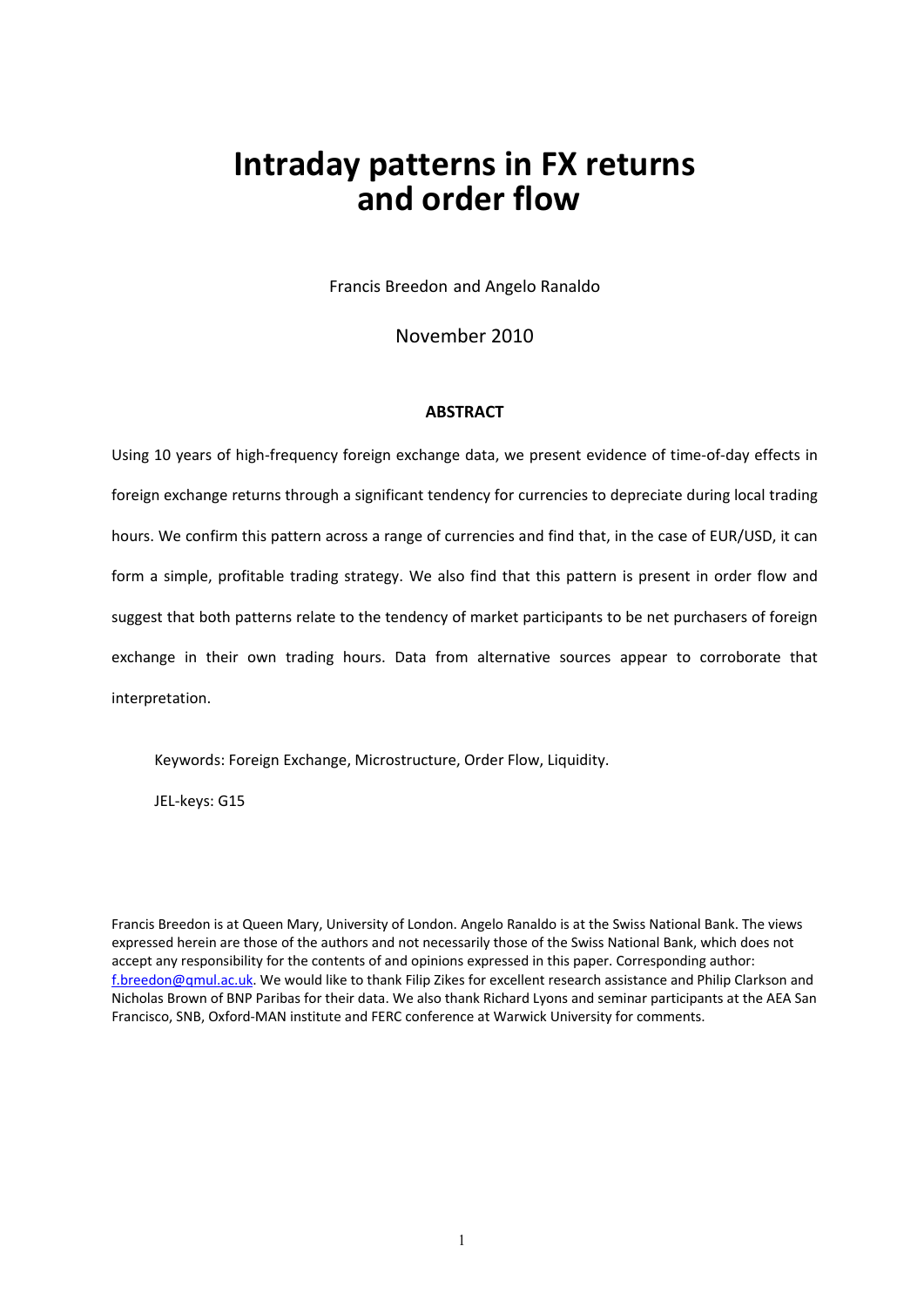# **Intraday patterns in FX returns and order flow**

Francis Breedon and Angelo Ranaldo

November 2010

## **ABSTRACT**

Using 10 years of high‐frequency foreign exchange data, we present evidence of time‐of‐day effects in foreign exchange returns through a significant tendency for currencies to depreciate during local trading hours. We confirm this pattern across a range of currencies and find that, in the case of EUR/USD, it can form a simple, profitable trading strategy. We also find that this pattern is present in order flow and suggest that both patterns relate to the tendency of market participants to be net purchasers of foreign exchange in their own trading hours. Data from alternative sources appear to corroborate that interpretation.

Keywords: Foreign Exchange, Microstructure, Order Flow, Liquidity.

JEL‐keys: G15

Francis Breedon is at Queen Mary, University of London. Angelo Ranaldo is at the Swiss National Bank. The views expressed herein are those of the authors and not necessarily those of the Swiss National Bank, which does not accept any responsibility for the contents of and opinions expressed in this paper. Corresponding author: f.breedon@qmul.ac.uk. We would like to thank Filip Zikes for excellent research assistance and Philip Clarkson and Nicholas Brown of BNP Paribas for their data. We also thank Richard Lyons and seminar participants at the AEA San Francisco, SNB, Oxford‐MAN institute and FERC conference at Warwick University for comments.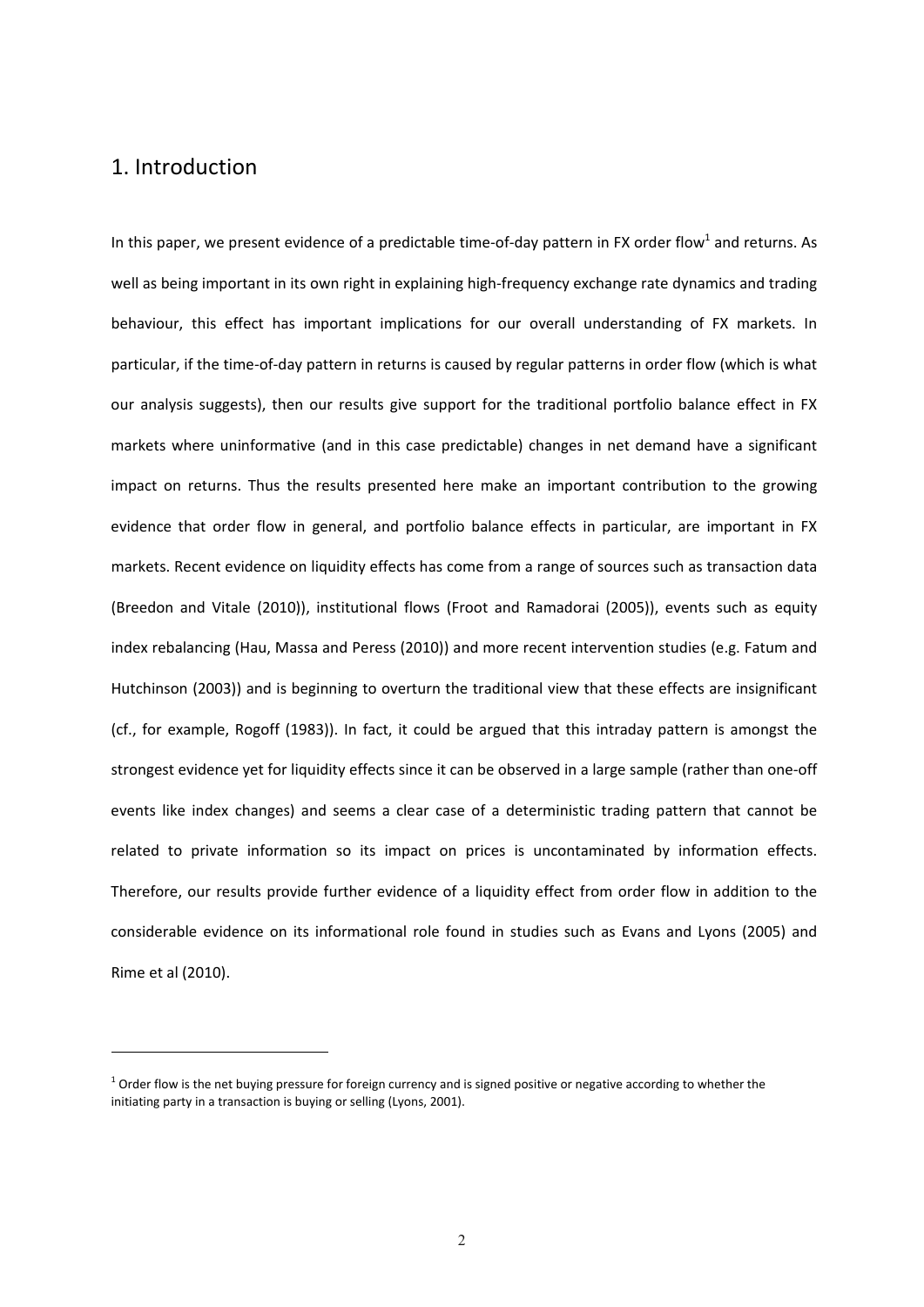## 1. Introduction

 

In this paper, we present evidence of a predictable time-of-day pattern in FX order flow<sup>1</sup> and returns. As well as being important in its own right in explaining high-frequency exchange rate dynamics and trading behaviour, this effect has important implications for our overall understanding of FX markets. In particular, if the time-of-day pattern in returns is caused by regular patterns in order flow (which is what our analysis suggests), then our results give support for the traditional portfolio balance effect in FX markets where uninformative (and in this case predictable) changes in net demand have a significant impact on returns. Thus the results presented here make an important contribution to the growing evidence that order flow in general, and portfolio balance effects in particular, are important in FX markets. Recent evidence on liquidity effects has come from a range of sources such as transaction data (Breedon and Vitale (2010)), institutional flows (Froot and Ramadorai (2005)), events such as equity index rebalancing (Hau, Massa and Peress (2010)) and more recent intervention studies (e.g. Fatum and Hutchinson (2003)) and is beginning to overturn the traditional view that these effects are insignificant (cf., for example, Rogoff (1983)). In fact, it could be argued that this intraday pattern is amongst the strongest evidence yet for liquidity effects since it can be observed in a large sample (rather than one‐off events like index changes) and seems a clear case of a deterministic trading pattern that cannot be related to private information so its impact on prices is uncontaminated by information effects. Therefore, our results provide further evidence of a liquidity effect from order flow in addition to the considerable evidence on its informational role found in studies such as Evans and Lyons (2005) and Rime et al (2010).

 $1$  Order flow is the net buying pressure for foreign currency and is signed positive or negative according to whether the initiating party in a transaction is buying or selling (Lyons, 2001).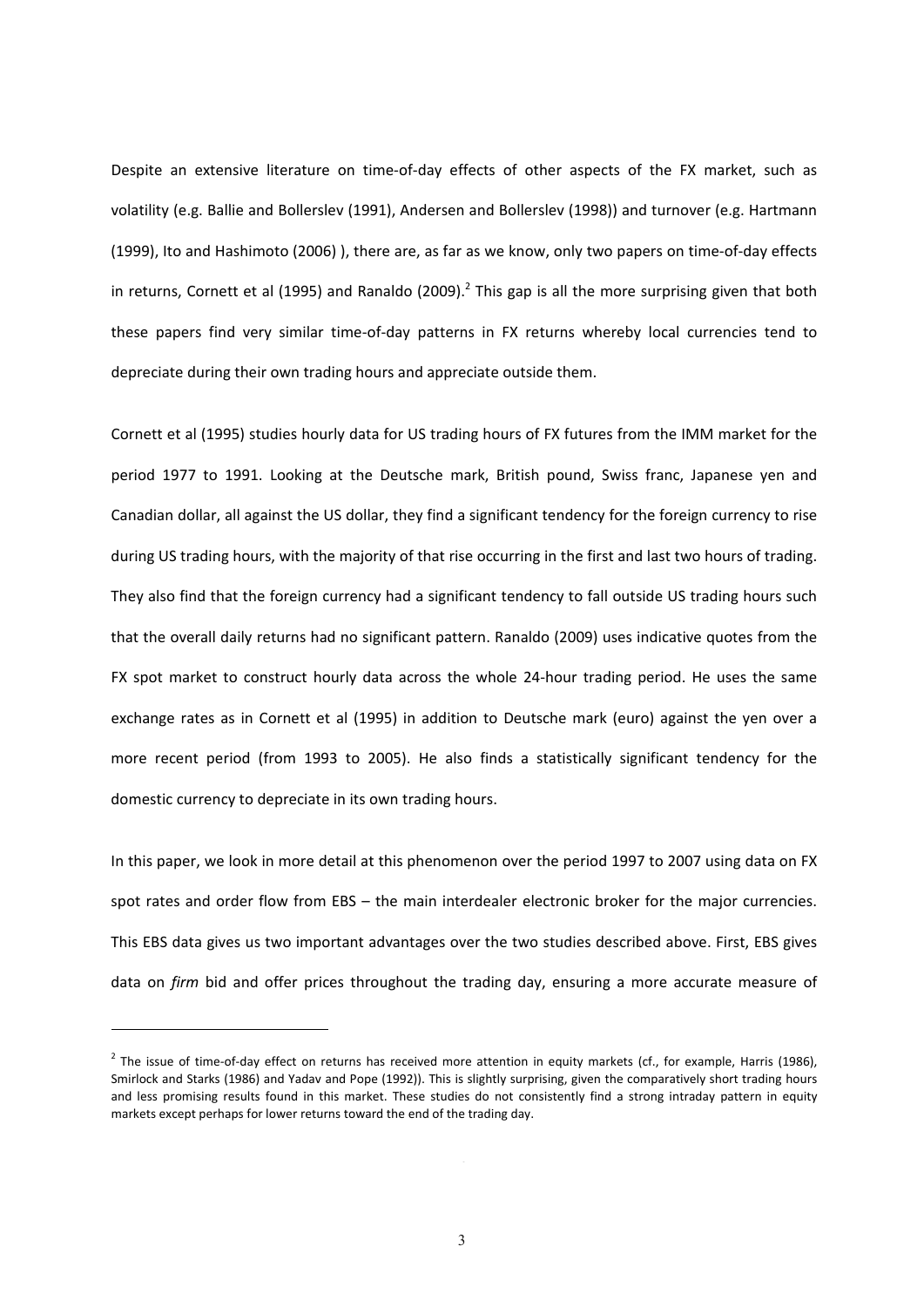Despite an extensive literature on time‐of‐day effects of other aspects of the FX market, such as volatility (e.g. Ballie and Bollerslev (1991), Andersen and Bollerslev (1998)) and turnover (e.g. Hartmann (1999), Ito and Hashimoto (2006) ), there are, as far as we know, only two papers on time‐of‐day effects in returns, Cornett et al (1995) and Ranaldo (2009).<sup>2</sup> This gap is all the more surprising given that both these papers find very similar time‐of‐day patterns in FX returns whereby local currencies tend to depreciate during their own trading hours and appreciate outside them.

Cornett et al (1995) studies hourly data for US trading hours of FX futures from the IMM market for the period 1977 to 1991. Looking at the Deutsche mark, British pound, Swiss franc, Japanese yen and Canadian dollar, all against the US dollar, they find a significant tendency for the foreign currency to rise during US trading hours, with the majority of that rise occurring in the first and last two hours of trading. They also find that the foreign currency had a significant tendency to fall outside US trading hours such that the overall daily returns had no significant pattern. Ranaldo (2009) uses indicative quotes from the FX spot market to construct hourly data across the whole 24-hour trading period. He uses the same exchange rates as in Cornett et al (1995) in addition to Deutsche mark (euro) against the yen over a more recent period (from 1993 to 2005). He also finds a statistically significant tendency for the domestic currency to depreciate in its own trading hours.

In this paper, we look in more detail at this phenomenon over the period 1997 to 2007 using data on FX spot rates and order flow from EBS – the main interdealer electronic broker for the major currencies. This EBS data gives us two important advantages over the two studies described above. First, EBS gives data on *firm* bid and offer prices throughout the trading day, ensuring a more accurate measure of

 

 $<sup>2</sup>$  The issue of time-of-day effect on returns has received more attention in equity markets (cf., for example, Harris (1986),</sup> Smirlock and Starks (1986) and Yadav and Pope (1992)). This is slightly surprising, given the comparatively short trading hours and less promising results found in this market. These studies do not consistently find a strong intraday pattern in equity markets except perhaps for lower returns toward the end of the trading day.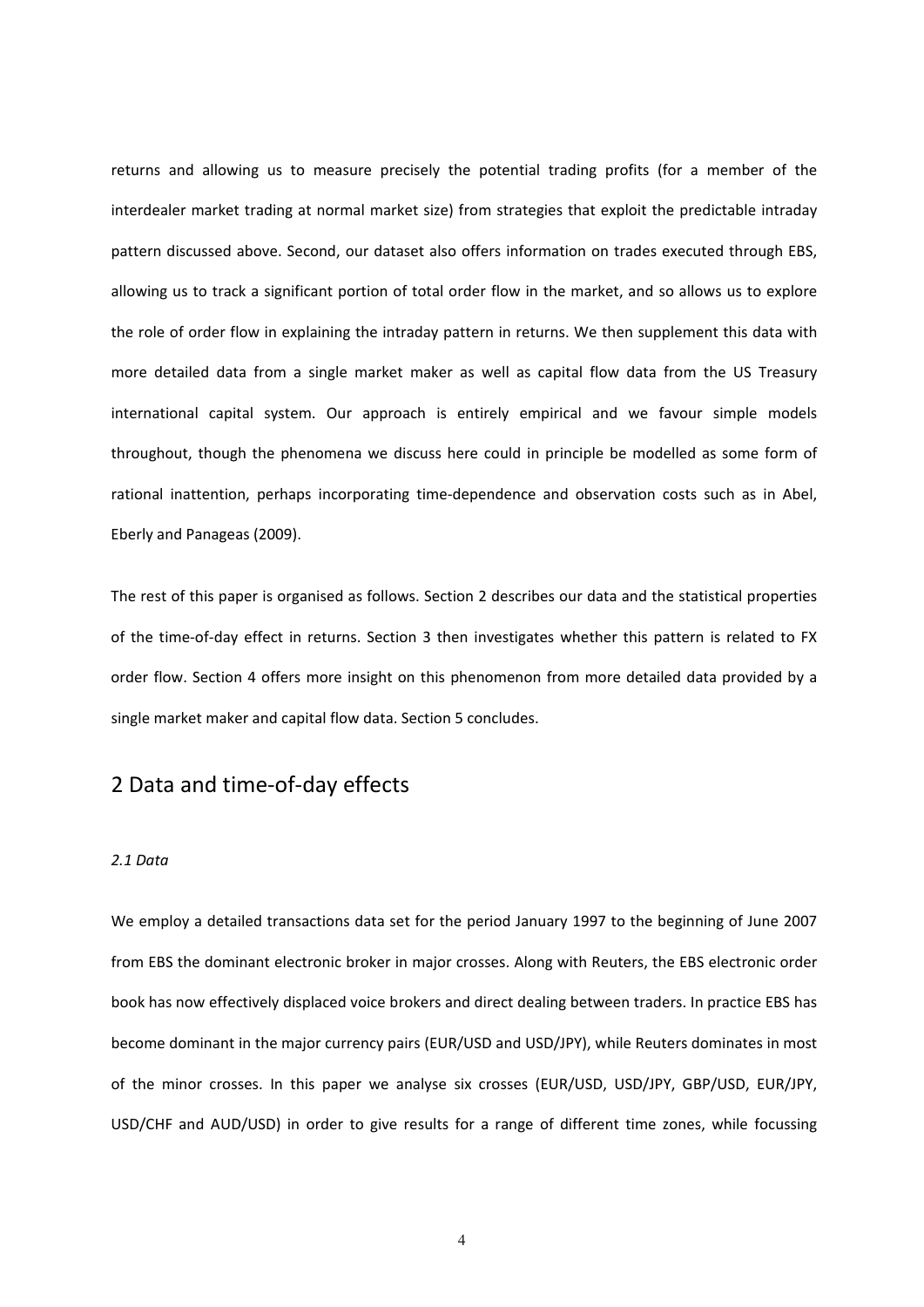returns and allowing us to measure precisely the potential trading profits (for a member of the interdealer market trading at normal market size) from strategies that exploit the predictable intraday pattern discussed above. Second, our dataset also offers information on trades executed through EBS, allowing us to track a significant portion of total order flow in the market, and so allows us to explore the role of order flow in explaining the intraday pattern in returns. We then supplement this data with more detailed data from a single market maker as well as capital flow data from the US Treasury international capital system. Our approach is entirely empirical and we favour simple models throughout, though the phenomena we discuss here could in principle be modelled as some form of rational inattention, perhaps incorporating time-dependence and observation costs such as in Abel, Eberly and Panageas (2009).

The rest of this paper is organised as follows. Section 2 describes our data and the statistical properties of the time-of-day effect in returns. Section 3 then investigates whether this pattern is related to FX order flow. Section 4 offers more insight on this phenomenon from more detailed data provided by a single market maker and capital flow data. Section 5 concludes.

## 2 Data and time‐of‐day effects

## *2.1 Data*

We employ a detailed transactions data set for the period January 1997 to the beginning of June 2007 from EBS the dominant electronic broker in major crosses. Along with Reuters, the EBS electronic order book has now effectively displaced voice brokers and direct dealing between traders. In practice EBS has become dominant in the major currency pairs (EUR/USD and USD/JPY), while Reuters dominates in most of the minor crosses. In this paper we analyse six crosses (EUR/USD, USD/JPY, GBP/USD, EUR/JPY, USD/CHF and AUD/USD) in order to give results for a range of different time zones, while focussing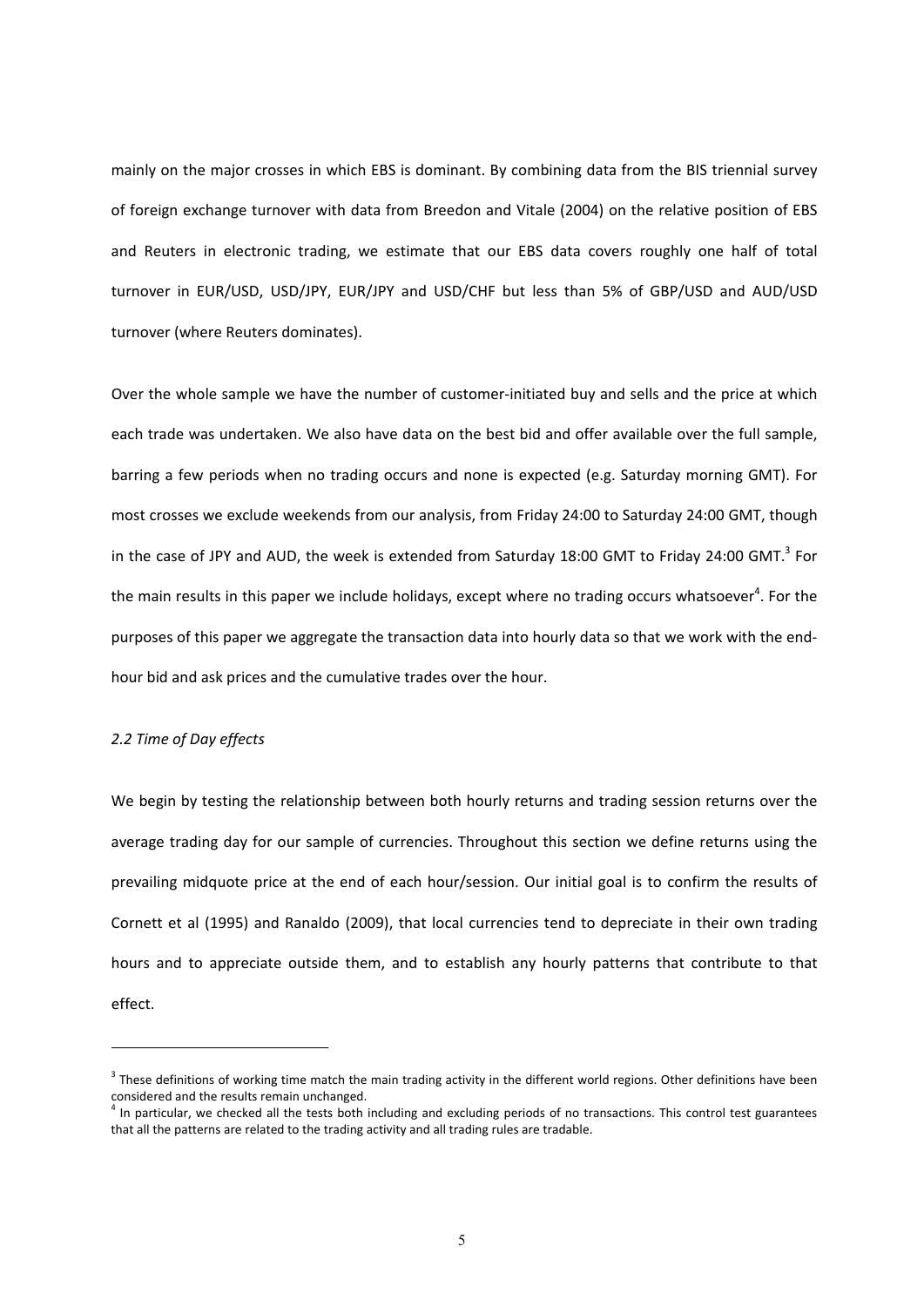mainly on the major crosses in which EBS is dominant. By combining data from the BIS triennial survey of foreign exchange turnover with data from Breedon and Vitale (2004) on the relative position of EBS and Reuters in electronic trading, we estimate that our EBS data covers roughly one half of total turnover in EUR/USD, USD/JPY, EUR/JPY and USD/CHF but less than 5% of GBP/USD and AUD/USD turnover (where Reuters dominates).

Over the whole sample we have the number of customer-initiated buy and sells and the price at which each trade was undertaken. We also have data on the best bid and offer available over the full sample, barring a few periods when no trading occurs and none is expected (e.g. Saturday morning GMT). For most crosses we exclude weekends from our analysis, from Friday 24:00 to Saturday 24:00 GMT, though in the case of JPY and AUD, the week is extended from Saturday 18:00 GMT to Friday 24:00 GMT.<sup>3</sup> For the main results in this paper we include holidays, except where no trading occurs whatsoever<sup>4</sup>. For the purposes of this paper we aggregate the transaction data into hourly data so that we work with the end‐ hour bid and ask prices and the cumulative trades over the hour.

## *2.2 Time of Day effects*

 

We begin by testing the relationship between both hourly returns and trading session returns over the average trading day for our sample of currencies. Throughout this section we define returns using the prevailing midquote price at the end of each hour/session. Our initial goal is to confirm the results of Cornett et al (1995) and Ranaldo (2009), that local currencies tend to depreciate in their own trading hours and to appreciate outside them, and to establish any hourly patterns that contribute to that effect.

 $3$  These definitions of working time match the main trading activity in the different world regions. Other definitions have been considered and the results remain unchanged.

 $<sup>4</sup>$  In particular, we checked all the tests both including and excluding periods of no transactions. This control test guarantees</sup> that all the patterns are related to the trading activity and all trading rules are tradable.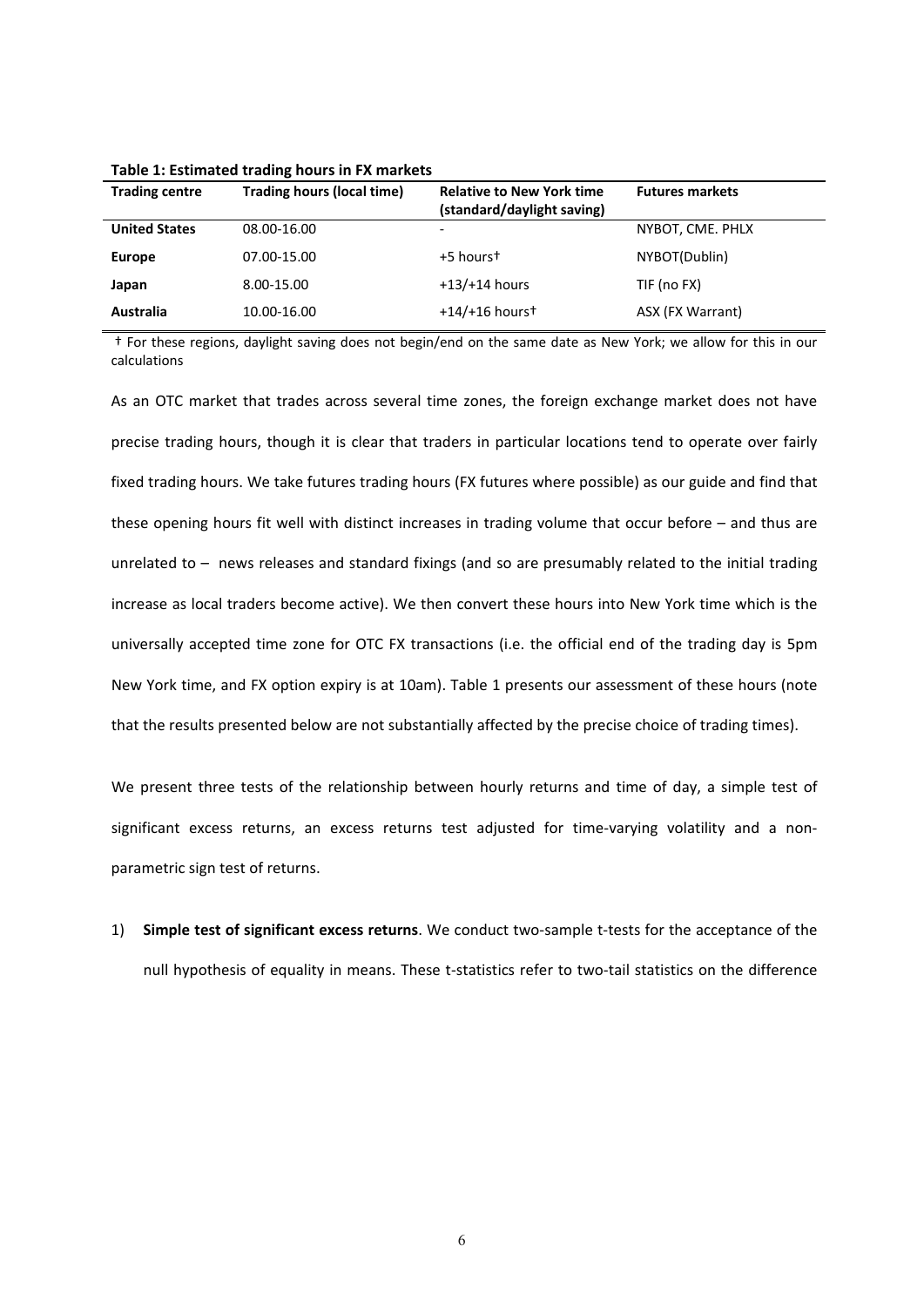| <b>Trading centre</b> | <b>Trading hours (local time)</b> | <b>Relative to New York time</b><br>(standard/daylight saving) | <b>Futures markets</b> |
|-----------------------|-----------------------------------|----------------------------------------------------------------|------------------------|
| <b>United States</b>  | 08.00-16.00                       |                                                                | NYBOT, CME. PHLX       |
| <b>Europe</b>         | 07.00-15.00                       | +5 hourst                                                      | NYBOT(Dublin)          |
| Japan                 | 8.00-15.00                        | $+13/+14$ hours                                                | TIF (no FX)            |
| Australia             | 10.00-16.00                       | $+14/+16$ hourst                                               | ASX (FX Warrant)       |

**Table 1: Estimated trading hours in FX markets**

† For these regions, daylight saving does not begin/end on the same date as New York; we allow for this in our calculations

As an OTC market that trades across several time zones, the foreign exchange market does not have precise trading hours, though it is clear that traders in particular locations tend to operate over fairly fixed trading hours. We take futures trading hours (FX futures where possible) as our guide and find that these opening hours fit well with distinct increases in trading volume that occur before – and thus are unrelated to – news releases and standard fixings (and so are presumably related to the initial trading increase as local traders become active). We then convert these hours into New York time which is the universally accepted time zone for OTC FX transactions (i.e. the official end of the trading day is 5pm New York time, and FX option expiry is at 10am). Table 1 presents our assessment of these hours (note that the results presented below are not substantially affected by the precise choice of trading times).

We present three tests of the relationship between hourly returns and time of day, a simple test of significant excess returns, an excess returns test adjusted for time-varying volatility and a nonparametric sign test of returns.

1) **Simple test of significant excess returns**. We conduct two‐sample t‐tests for the acceptance of the null hypothesis of equality in means. These t-statistics refer to two-tail statistics on the difference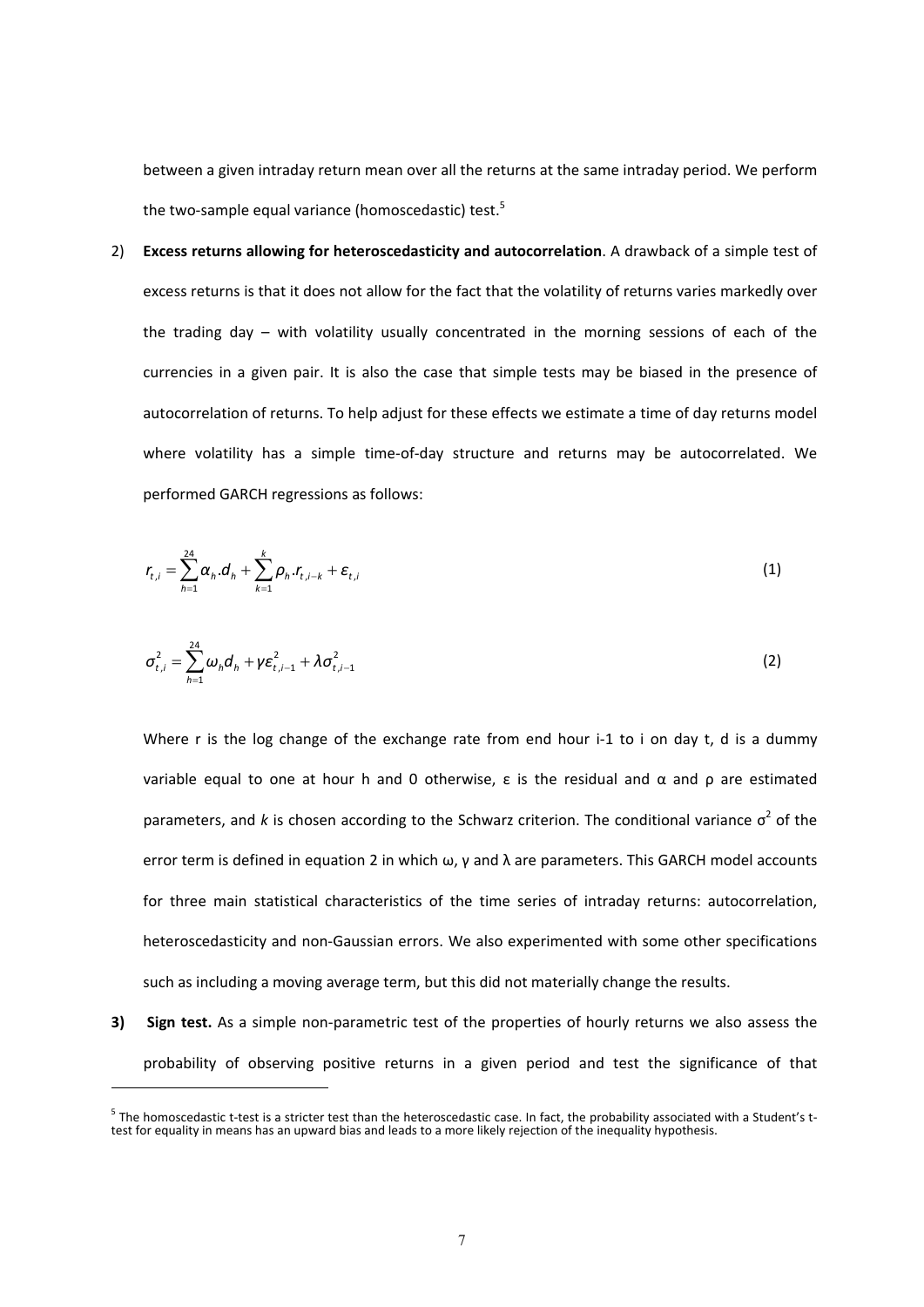between a given intraday return mean over all the returns at the same intraday period. We perform the two-sample equal variance (homoscedastic) test.<sup>5</sup>

2) **Excess returns allowing for heteroscedasticity and autocorrelation**. A drawback of a simple test of excess returns is that it does not allow for the fact that the volatility of returns varies markedly over the trading day – with volatility usually concentrated in the morning sessions of each of the currencies in a given pair. It is also the case that simple tests may be biased in the presence of autocorrelation of returns. To help adjust for these effects we estimate a time of day returns model where volatility has a simple time-of-day structure and returns may be autocorrelated. We performed GARCH regressions as follows:

$$
r_{t,i} = \sum_{h=1}^{24} \alpha_h \, d_h + \sum_{k=1}^{k} \rho_h \, r_{t,i-k} + \varepsilon_{t,i} \tag{1}
$$

$$
\sigma_{t,i}^2 = \sum_{h=1}^{24} \omega_h d_h + \gamma \varepsilon_{t,i-1}^2 + \lambda \sigma_{t,i-1}^2
$$
 (2)

Where r is the log change of the exchange rate from end hour i-1 to i on day t, d is a dummy variable equal to one at hour h and 0 otherwise,  $\varepsilon$  is the residual and  $\alpha$  and  $\rho$  are estimated parameters, and *k* is chosen according to the Schwarz criterion. The conditional variance  $\sigma^2$  of the error term is defined in equation 2 in which ω, γ and λ are parameters. This GARCH model accounts for three main statistical characteristics of the time series of intraday returns: autocorrelation, heteroscedasticity and non-Gaussian errors. We also experimented with some other specifications such as including a moving average term, but this did not materially change the results.

**3) Sign test.** As a simple non‐parametric test of the properties of hourly returns we also assess the probability of observing positive returns in a given period and test the significance of that

 

 $5$  The homoscedastic t-test is a stricter test than the heteroscedastic case. In fact, the probability associated with a Student's t-<br>test for equality in means has an upward bias and leads to a more likely rejection of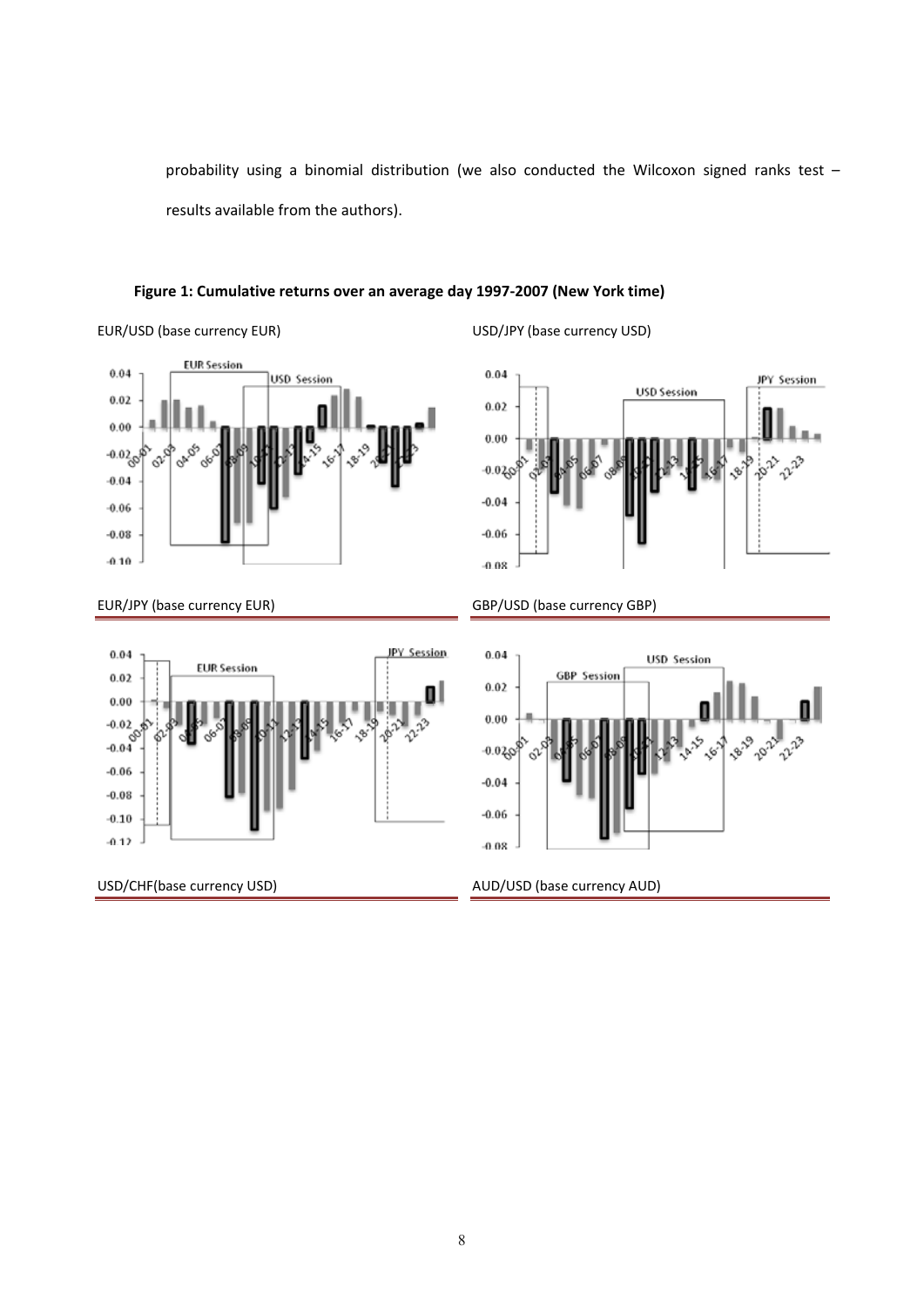probability using a binomial distribution (we also conducted the Wilcoxon signed ranks test – results available from the authors).

## **Figure 1: Cumulative returns over an average day 1997‐2007 (New York time)**



EUR/USD (base currency EUR) USD/JPY (base currency USD)







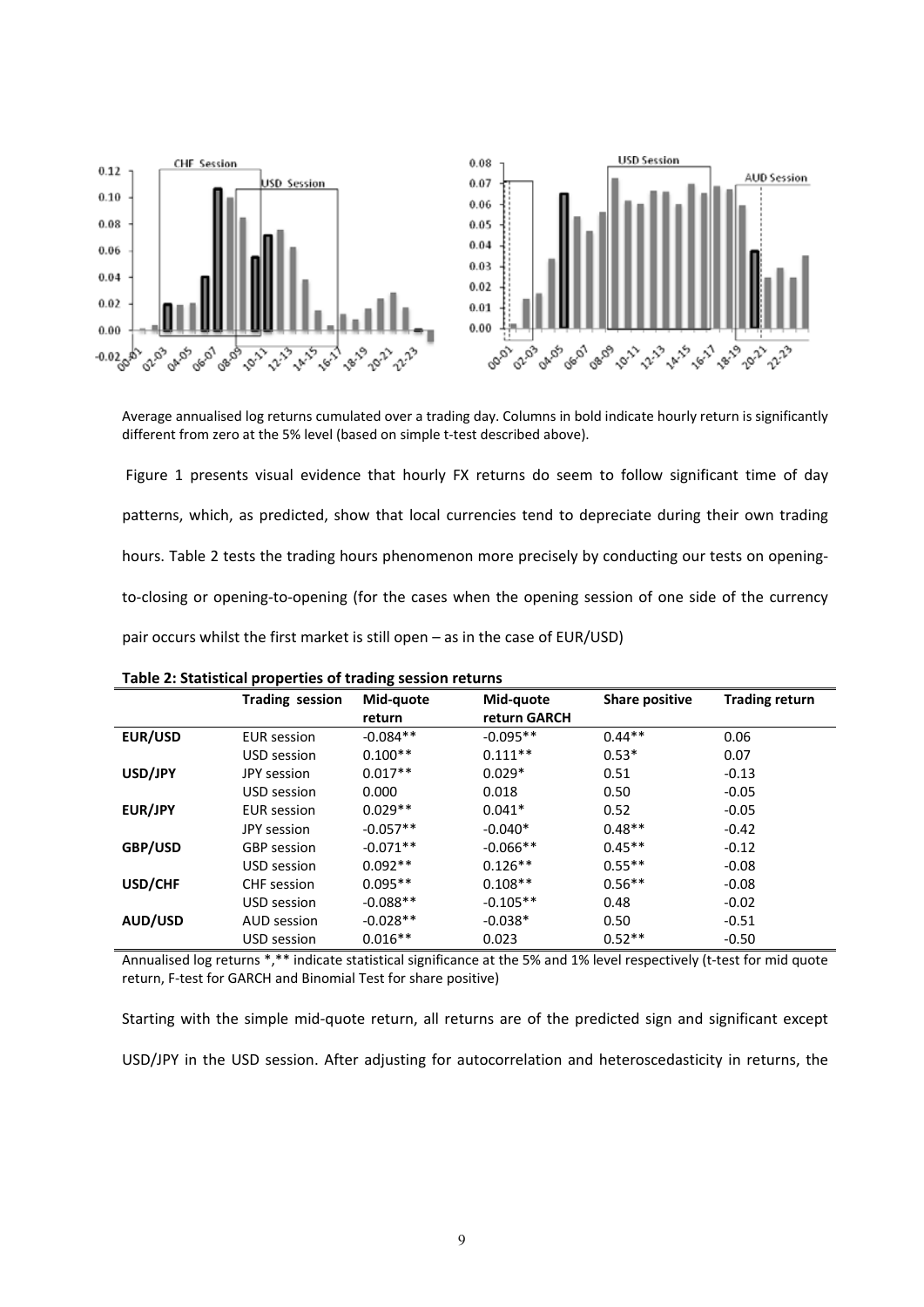

Average annualised log returns cumulated over a trading day. Columns in bold indicate hourly return is significantly different from zero at the 5% level (based on simple t-test described above).

Figure 1 presents visual evidence that hourly FX returns do seem to follow significant time of day patterns, which, as predicted, show that local currencies tend to depreciate during their own trading hours. Table 2 tests the trading hours phenomenon more precisely by conducting our tests on openingto-closing or opening-to-opening (for the cases when the opening session of one side of the currency pair occurs whilst the first market is still open – as in the case of EUR/USD)

|         | <b>Trading session</b> | Mid-quote  | Mid-quote    | <b>Share positive</b> | <b>Trading return</b> |
|---------|------------------------|------------|--------------|-----------------------|-----------------------|
|         |                        | return     | return GARCH |                       |                       |
| EUR/USD | <b>EUR</b> session     | $-0.084**$ | $-0.095**$   | $0.44**$              | 0.06                  |
|         | USD session            | $0.100**$  | $0.111**$    | $0.53*$               | 0.07                  |
| USD/JPY | JPY session            | $0.017**$  | $0.029*$     | 0.51                  | $-0.13$               |
|         | USD session            | 0.000      | 0.018        | 0.50                  | $-0.05$               |
| EUR/JPY | <b>EUR</b> session     | $0.029**$  | $0.041*$     | 0.52                  | $-0.05$               |
|         | JPY session            | $-0.057**$ | $-0.040*$    | $0.48**$              | $-0.42$               |
| GBP/USD | <b>GBP</b> session     | $-0.071**$ | $-0.066**$   | $0.45**$              | $-0.12$               |
|         | USD session            | $0.092**$  | $0.126**$    | $0.55**$              | $-0.08$               |
| USD/CHF | <b>CHF</b> session     | $0.095**$  | $0.108**$    | $0.56**$              | $-0.08$               |
|         | USD session            | $-0.088**$ | $-0.105**$   | 0.48                  | $-0.02$               |
| AUD/USD | AUD session            | $-0.028**$ | $-0.038*$    | 0.50                  | $-0.51$               |
|         | USD session            | $0.016**$  | 0.023        | $0.52**$              | $-0.50$               |

**Table 2: Statistical properties of trading session returns**

Annualised log returns \*,\*\* indicate statistical significance at the 5% and 1% level respectively (t-test for mid quote return, F‐test for GARCH and Binomial Test for share positive)

Starting with the simple mid‐quote return, all returns are of the predicted sign and significant except USD/JPY in the USD session. After adjusting for autocorrelation and heteroscedasticity in returns, the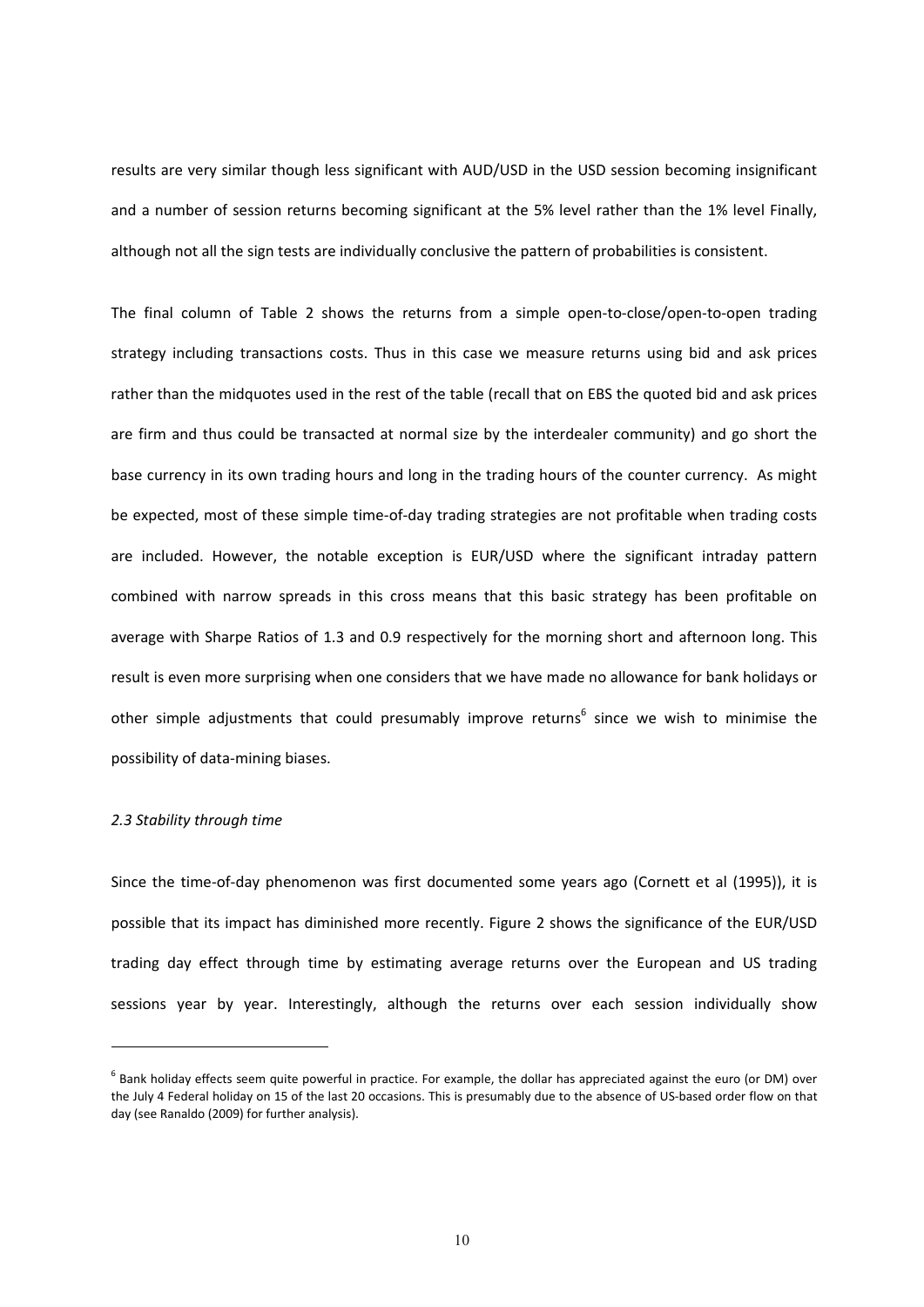results are very similar though less significant with AUD/USD in the USD session becoming insignificant and a number of session returns becoming significant at the 5% level rather than the 1% level Finally, although not all the sign tests are individually conclusive the pattern of probabilities is consistent.

The final column of Table 2 shows the returns from a simple open-to-close/open-to-open trading strategy including transactions costs. Thus in this case we measure returns using bid and ask prices rather than the midquotes used in the rest of the table (recall that on EBS the quoted bid and ask prices are firm and thus could be transacted at normal size by the interdealer community) and go short the base currency in its own trading hours and long in the trading hours of the counter currency. As might be expected, most of these simple time-of-day trading strategies are not profitable when trading costs are included. However, the notable exception is EUR/USD where the significant intraday pattern combined with narrow spreads in this cross means that this basic strategy has been profitable on average with Sharpe Ratios of 1.3 and 0.9 respectively for the morning short and afternoon long. This result is even more surprising when one considers that we have made no allowance for bank holidays or other simple adjustments that could presumably improve returns<sup>6</sup> since we wish to minimise the possibility of data‐mining biases.

### *2.3 Stability through time*

 

Since the time-of-day phenomenon was first documented some years ago (Cornett et al (1995)), it is possible that its impact has diminished more recently. Figure 2 shows the significance of the EUR/USD trading day effect through time by estimating average returns over the European and US trading sessions year by year. Interestingly, although the returns over each session individually show

 $6$  Bank holiday effects seem quite powerful in practice. For example, the dollar has appreciated against the euro (or DM) over the July 4 Federal holiday on 15 of the last 20 occasions. This is presumably due to the absence of US‐based order flow on that day (see Ranaldo (2009) for further analysis).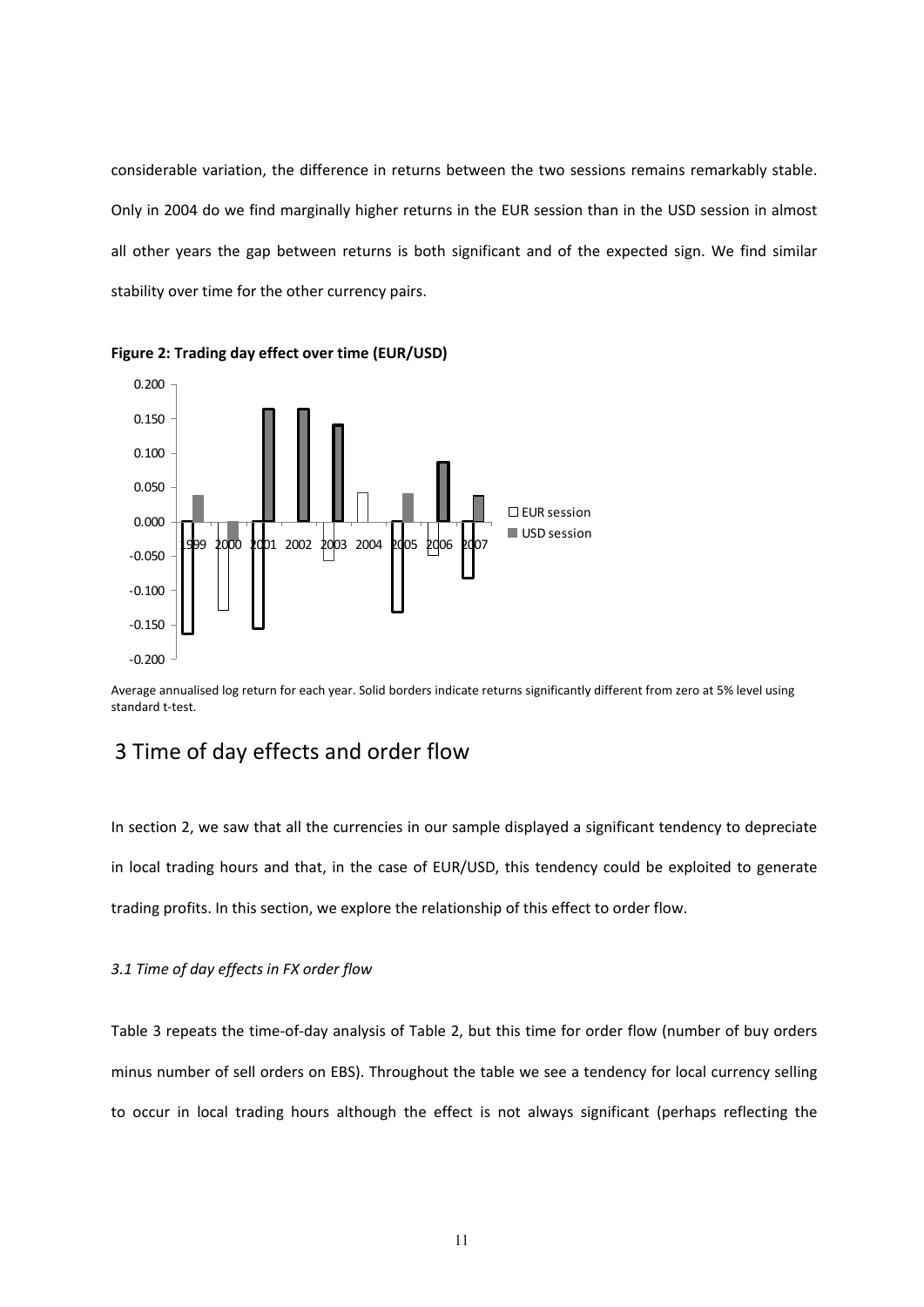considerable variation, the difference in returns between the two sessions remains remarkably stable. Only in 2004 do we find marginally higher returns in the EUR session than in the USD session in almost all other years the gap between returns is both significant and of the expected sign. We find similar stability over time for the other currency pairs.



**Figure 2: Trading day effect over time (EUR/USD)**

Average annualised log return for each year. Solid borders indicate returns significantly different from zero at 5% level using standard t‐test.

## 3 Time of day effects and order flow

In section 2, we saw that all the currencies in our sample displayed a significant tendency to depreciate in local trading hours and that, in the case of EUR/USD, this tendency could be exploited to generate trading profits. In this section, we explore the relationship of this effect to order flow.

#### *3.1 Time of day effects in FX order flow*

Table 3 repeats the time-of-day analysis of Table 2, but this time for order flow (number of buy orders minus number of sell orders on EBS). Throughout the table we see a tendency for local currency selling to occur in local trading hours although the effect is not always significant (perhaps reflecting the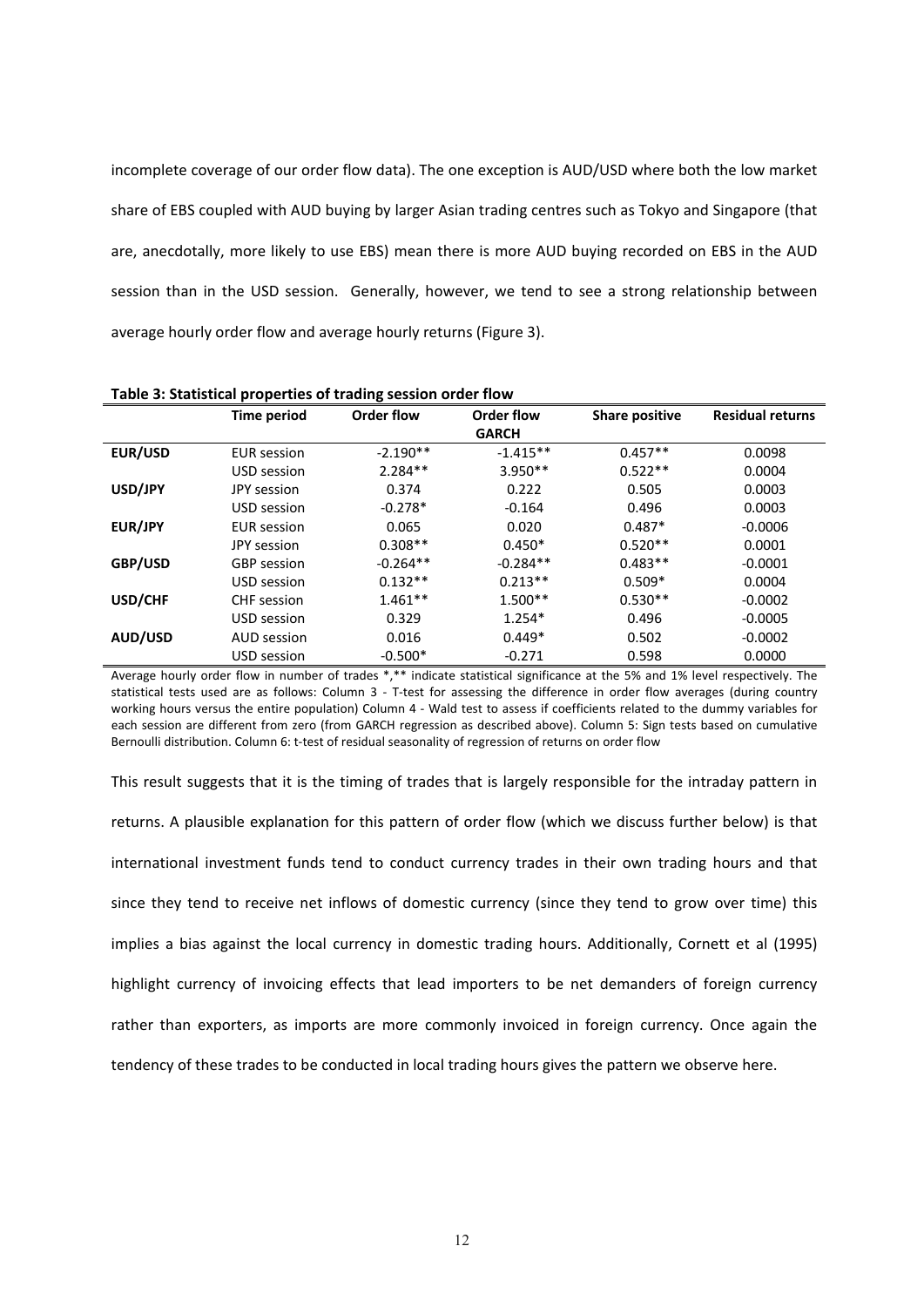incomplete coverage of our order flow data). The one exception is AUD/USD where both the low market share of EBS coupled with AUD buying by larger Asian trading centres such as Tokyo and Singapore (that are, anecdotally, more likely to use EBS) mean there is more AUD buying recorded on EBS in the AUD session than in the USD session. Generally, however, we tend to see a strong relationship between average hourly order flow and average hourly returns (Figure 3).

|                | <b>Time period</b> | <b>Order flow</b> | Order flow   | <b>Share positive</b> | <b>Residual returns</b> |
|----------------|--------------------|-------------------|--------------|-----------------------|-------------------------|
|                |                    |                   | <b>GARCH</b> |                       |                         |
| EUR/USD        | <b>EUR</b> session | $-2.190**$        | $-1.415**$   | $0.457**$             | 0.0098                  |
|                | USD session        | $2.284**$         | $3.950**$    | $0.522**$             | 0.0004                  |
| USD/JPY        | JPY session        | 0.374             | 0.222        | 0.505                 | 0.0003                  |
|                | USD session        | $-0.278*$         | $-0.164$     | 0.496                 | 0.0003                  |
| EUR/JPY        | <b>EUR</b> session | 0.065             | 0.020        | $0.487*$              | $-0.0006$               |
|                | JPY session        | $0.308**$         | $0.450*$     | $0.520**$             | 0.0001                  |
| GBP/USD        | <b>GBP</b> session | $-0.264**$        | $-0.284**$   | $0.483**$             | $-0.0001$               |
|                | USD session        | $0.132**$         | $0.213**$    | $0.509*$              | 0.0004                  |
| USD/CHF        | CHF session        | $1.461**$         | $1.500**$    | $0.530**$             | $-0.0002$               |
|                | USD session        | 0.329             | $1.254*$     | 0.496                 | $-0.0005$               |
| <b>AUD/USD</b> | AUD session        | 0.016             | $0.449*$     | 0.502                 | $-0.0002$               |
|                | USD session        | $-0.500*$         | $-0.271$     | 0.598                 | 0.0000                  |

**Table 3: Statistical properties of trading session order flow**

Average hourly order flow in number of trades \*,\*\* indicate statistical significance at the 5% and 1% level respectively. The statistical tests used are as follows: Column 3 - T-test for assessing the difference in order flow averages (during country working hours versus the entire population) Column 4 - Wald test to assess if coefficients related to the dummy variables for each session are different from zero (from GARCH regression as described above). Column 5: Sign tests based on cumulative Bernoulli distribution. Column 6: t-test of residual seasonality of regression of returns on order flow

This result suggests that it is the timing of trades that is largely responsible for the intraday pattern in returns. A plausible explanation for this pattern of order flow (which we discuss further below) is that international investment funds tend to conduct currency trades in their own trading hours and that since they tend to receive net inflows of domestic currency (since they tend to grow over time) this implies a bias against the local currency in domestic trading hours. Additionally, Cornett et al (1995) highlight currency of invoicing effects that lead importers to be net demanders of foreign currency rather than exporters, as imports are more commonly invoiced in foreign currency. Once again the tendency of these trades to be conducted in local trading hours gives the pattern we observe here.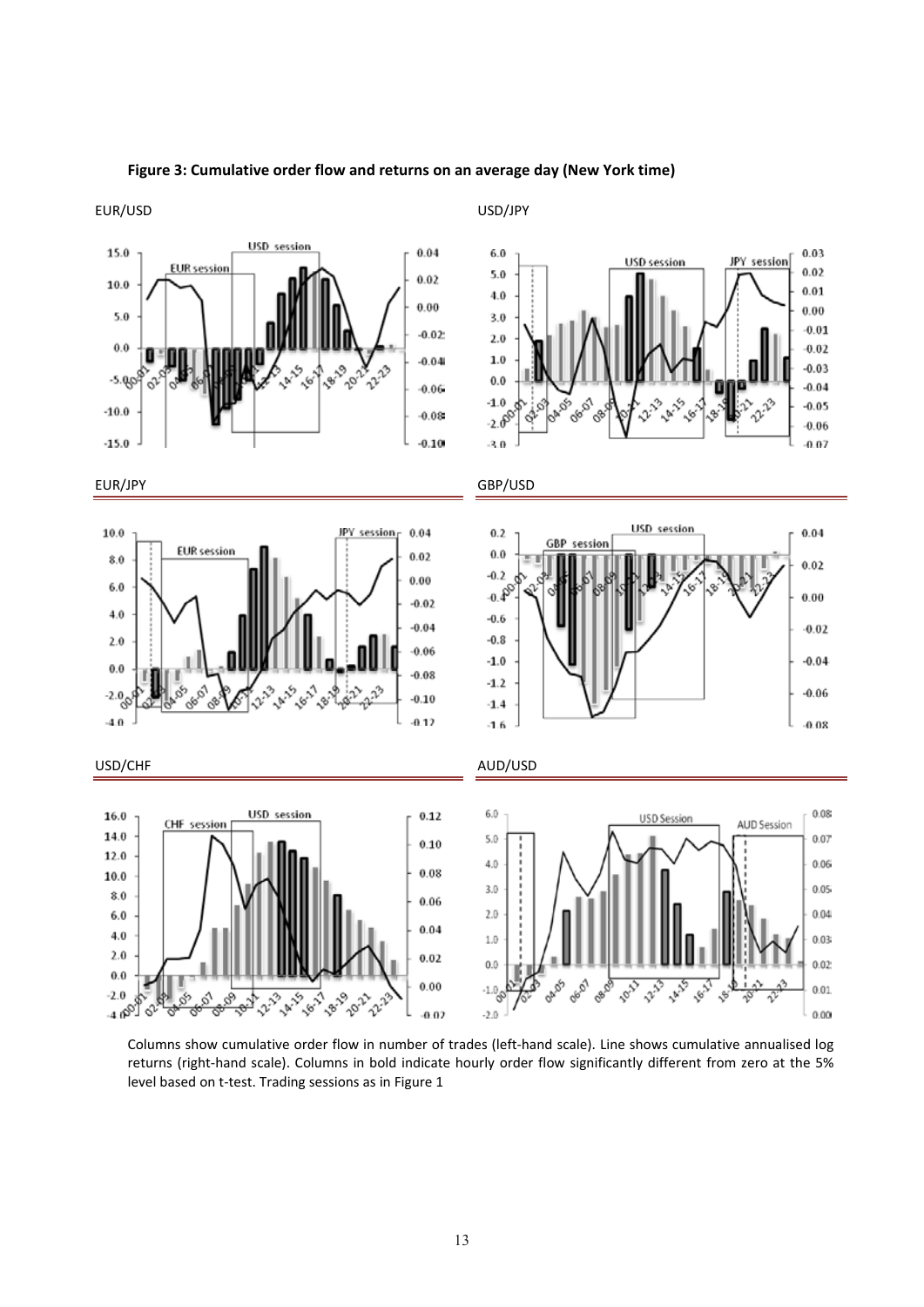

## **Figure 3: Cumulative order flow and returns on an average day (New York time)**

EUR/USD USD/JPY

Columns show cumulative order flow in number of trades (left‐hand scale). Line shows cumulative annualised log returns (right-hand scale). Columns in bold indicate hourly order flow significantly different from zero at the 5% level based on t-test. Trading sessions as in Figure 1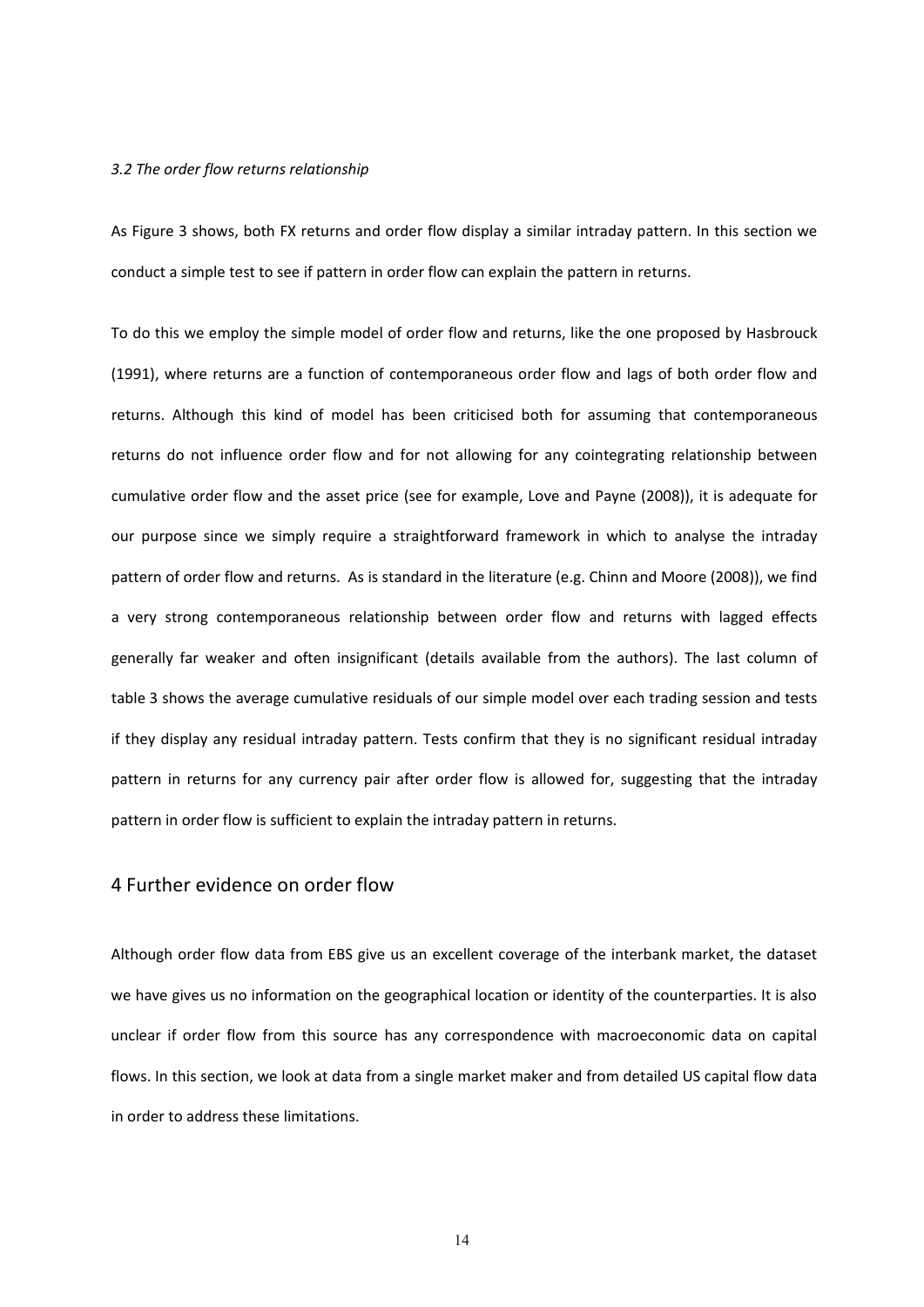#### *3.2 The order flow returns relationship*

As Figure 3 shows, both FX returns and order flow display a similar intraday pattern. In this section we conduct a simple test to see if pattern in order flow can explain the pattern in returns.

To do this we employ the simple model of order flow and returns, like the one proposed by Hasbrouck (1991), where returns are a function of contemporaneous order flow and lags of both order flow and returns. Although this kind of model has been criticised both for assuming that contemporaneous returns do not influence order flow and for not allowing for any cointegrating relationship between cumulative order flow and the asset price (see for example, Love and Payne (2008)), it is adequate for our purpose since we simply require a straightforward framework in which to analyse the intraday pattern of order flow and returns. As is standard in the literature (e.g. Chinn and Moore (2008)), we find a very strong contemporaneous relationship between order flow and returns with lagged effects generally far weaker and often insignificant (details available from the authors). The last column of table 3 shows the average cumulative residuals of our simple model over each trading session and tests if they display any residual intraday pattern. Tests confirm that they is no significant residual intraday pattern in returns for any currency pair after order flow is allowed for, suggesting that the intraday pattern in order flow is sufficient to explain the intraday pattern in returns.

## 4 Further evidence on order flow

Although order flow data from EBS give us an excellent coverage of the interbank market, the dataset we have gives us no information on the geographical location or identity of the counterparties. It is also unclear if order flow from this source has any correspondence with macroeconomic data on capital flows. In this section, we look at data from a single market maker and from detailed US capital flow data in order to address these limitations.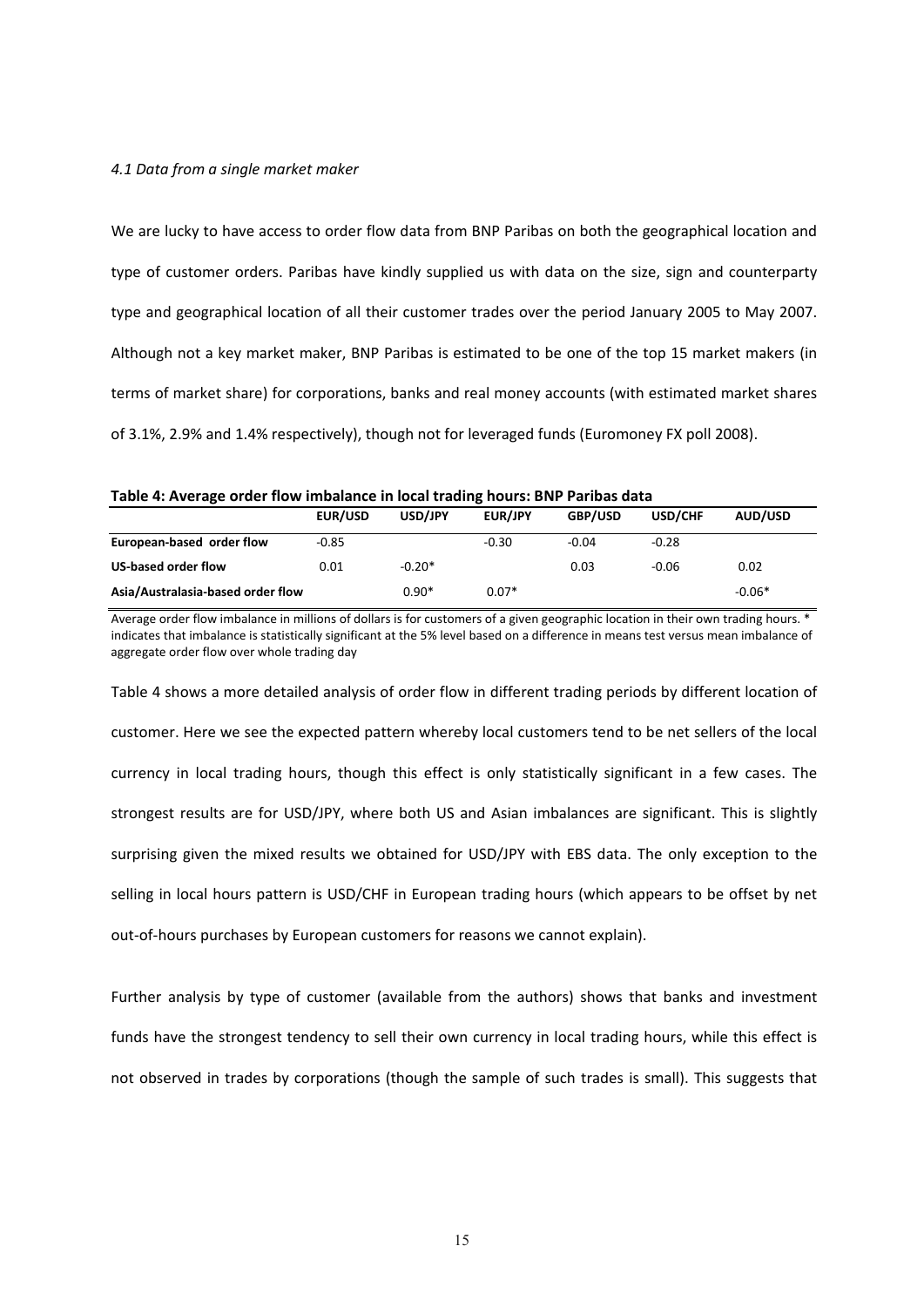#### *4.1 Data from a single market maker*

We are lucky to have access to order flow data from BNP Paribas on both the geographical location and type of customer orders. Paribas have kindly supplied us with data on the size, sign and counterparty type and geographical location of all their customer trades over the period January 2005 to May 2007. Although not a key market maker, BNP Paribas is estimated to be one of the top 15 market makers (in terms of market share) for corporations, banks and real money accounts (with estimated market shares of 3.1%, 2.9% and 1.4% respectively), though not for leveraged funds (Euromoney FX poll 2008).

| Table 4: Average order flow imbalance in local trading hours: BNP Paribas data |  |  |
|--------------------------------------------------------------------------------|--|--|
|--------------------------------------------------------------------------------|--|--|

|                                   | <b>EUR/USD</b> | USD/JPY  | <b>EUR/JPY</b> | GBP/USD | USD/CHF | AUD/USD  |
|-----------------------------------|----------------|----------|----------------|---------|---------|----------|
| European-based order flow         | $-0.85$        |          | $-0.30$        | $-0.04$ | $-0.28$ |          |
| US-based order flow               | 0.01           | $-0.20*$ |                | 0.03    | $-0.06$ | 0.02     |
| Asia/Australasia-based order flow |                | $0.90*$  | $0.07*$        |         |         | $-0.06*$ |

Average order flow imbalance in millions of dollars is for customers of a given geographic location in their own trading hours. \* indicates that imbalance is statistically significant at the 5% level based on a difference in means test versus mean imbalance of aggregate order flow over whole trading day

Table 4 shows a more detailed analysis of order flow in different trading periods by different location of customer. Here we see the expected pattern whereby local customers tend to be net sellers of the local currency in local trading hours, though this effect is only statistically significant in a few cases. The strongest results are for USD/JPY, where both US and Asian imbalances are significant. This is slightly surprising given the mixed results we obtained for USD/JPY with EBS data. The only exception to the selling in local hours pattern is USD/CHF in European trading hours (which appears to be offset by net out‐of‐hours purchases by European customers for reasons we cannot explain).

Further analysis by type of customer (available from the authors) shows that banks and investment funds have the strongest tendency to sell their own currency in local trading hours, while this effect is not observed in trades by corporations (though the sample of such trades is small). This suggests that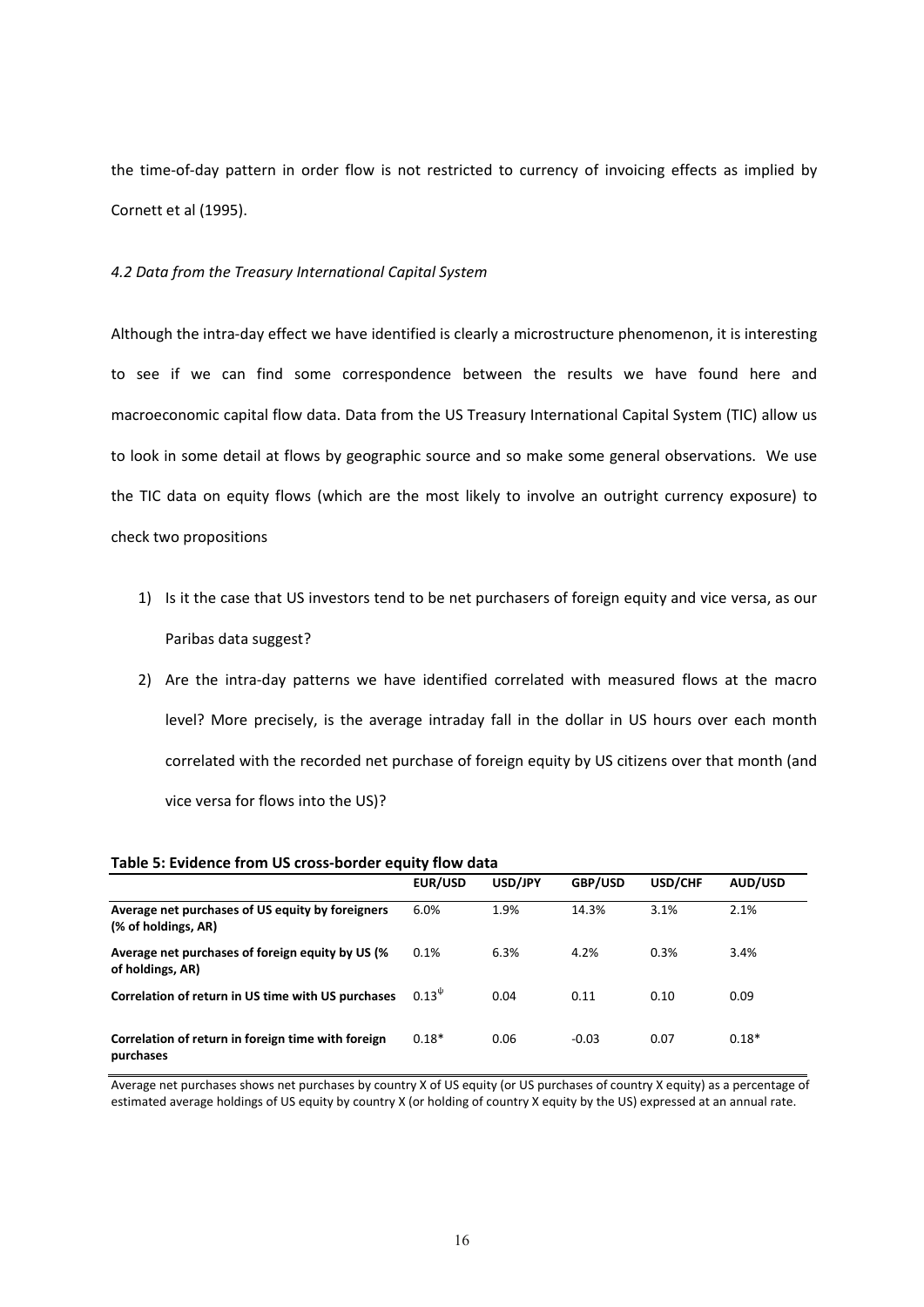the time-of-day pattern in order flow is not restricted to currency of invoicing effects as implied by Cornett et al (1995).

## *4.2 Data from the Treasury International Capital System*

Although the intra‐day effect we have identified is clearly a microstructure phenomenon, it is interesting to see if we can find some correspondence between the results we have found here and macroeconomic capital flow data. Data from the US Treasury International Capital System (TIC) allow us to look in some detail at flows by geographic source and so make some general observations. We use the TIC data on equity flows (which are the most likely to involve an outright currency exposure) to check two propositions

- 1) Is it the case that US investors tend to be net purchasers of foreign equity and vice versa, as our Paribas data suggest?
- 2) Are the intra‐day patterns we have identified correlated with measured flows at the macro level? More precisely, is the average intraday fall in the dollar in US hours over each month correlated with the recorded net purchase of foreign equity by US citizens over that month (and vice versa for flows into the US)?

|                                                                         | EUR/USD       | USD/JPY | GBP/USD | USD/CHF | AUD/USD |
|-------------------------------------------------------------------------|---------------|---------|---------|---------|---------|
| Average net purchases of US equity by foreigners<br>(% of holdings, AR) | 6.0%          | 1.9%    | 14.3%   | 3.1%    | 2.1%    |
| Average net purchases of foreign equity by US (%<br>of holdings, AR)    | 0.1%          | 6.3%    | 4.2%    | 0.3%    | 3.4%    |
| Correlation of return in US time with US purchases                      | $0.13^{\psi}$ | 0.04    | 0.11    | 0.10    | 0.09    |
| Correlation of return in foreign time with foreign<br>purchases         | $0.18*$       | 0.06    | $-0.03$ | 0.07    | $0.18*$ |

**Table 5: Evidence from US cross‐border equity flow data** 

Average net purchases shows net purchases by country X of US equity (or US purchases of country X equity) as a percentage of estimated average holdings of US equity by country X (or holding of country X equity by the US) expressed at an annual rate.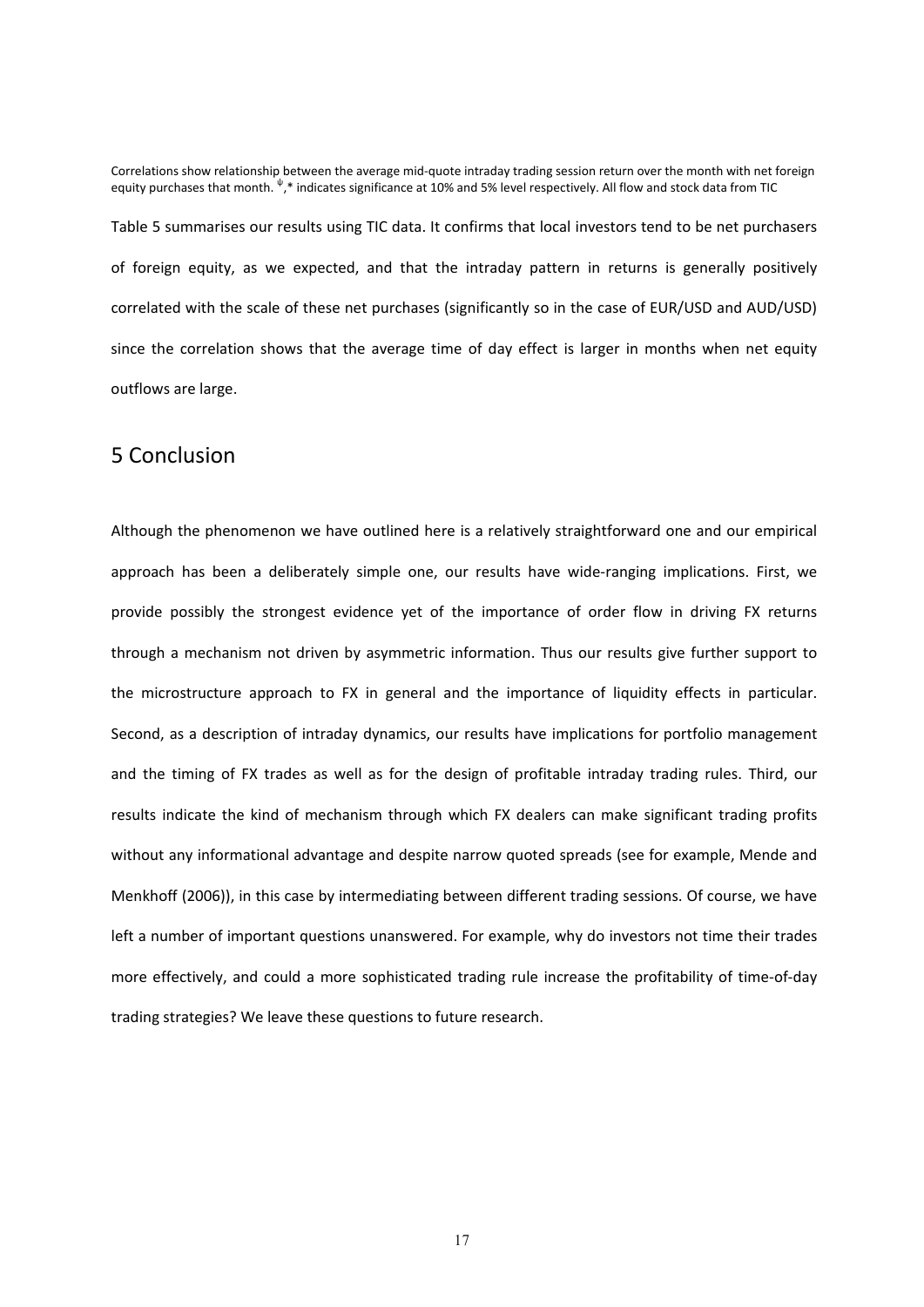Correlations show relationship between the average mid‐quote intraday trading session return over the month with net foreign equity purchases that month.  $^{\Downarrow},^*$  indicates significance at 10% and 5% level respectively. All flow and stock data from TIC Table 5 summarises our results using TIC data. It confirms that local investors tend to be net purchasers of foreign equity, as we expected, and that the intraday pattern in returns is generally positively correlated with the scale of these net purchases (significantly so in the case of EUR/USD and AUD/USD) since the correlation shows that the average time of day effect is larger in months when net equity outflows are large.

## 5 Conclusion

Although the phenomenon we have outlined here is a relatively straightforward one and our empirical approach has been a deliberately simple one, our results have wide-ranging implications. First, we provide possibly the strongest evidence yet of the importance of order flow in driving FX returns through a mechanism not driven by asymmetric information. Thus our results give further support to the microstructure approach to FX in general and the importance of liquidity effects in particular. Second, as a description of intraday dynamics, our results have implications for portfolio management and the timing of FX trades as well as for the design of profitable intraday trading rules. Third, our results indicate the kind of mechanism through which FX dealers can make significant trading profits without any informational advantage and despite narrow quoted spreads (see for example, Mende and Menkhoff (2006)), in this case by intermediating between different trading sessions. Of course, we have left a number of important questions unanswered. For example, why do investors not time their trades more effectively, and could a more sophisticated trading rule increase the profitability of time‐of‐day trading strategies? We leave these questions to future research.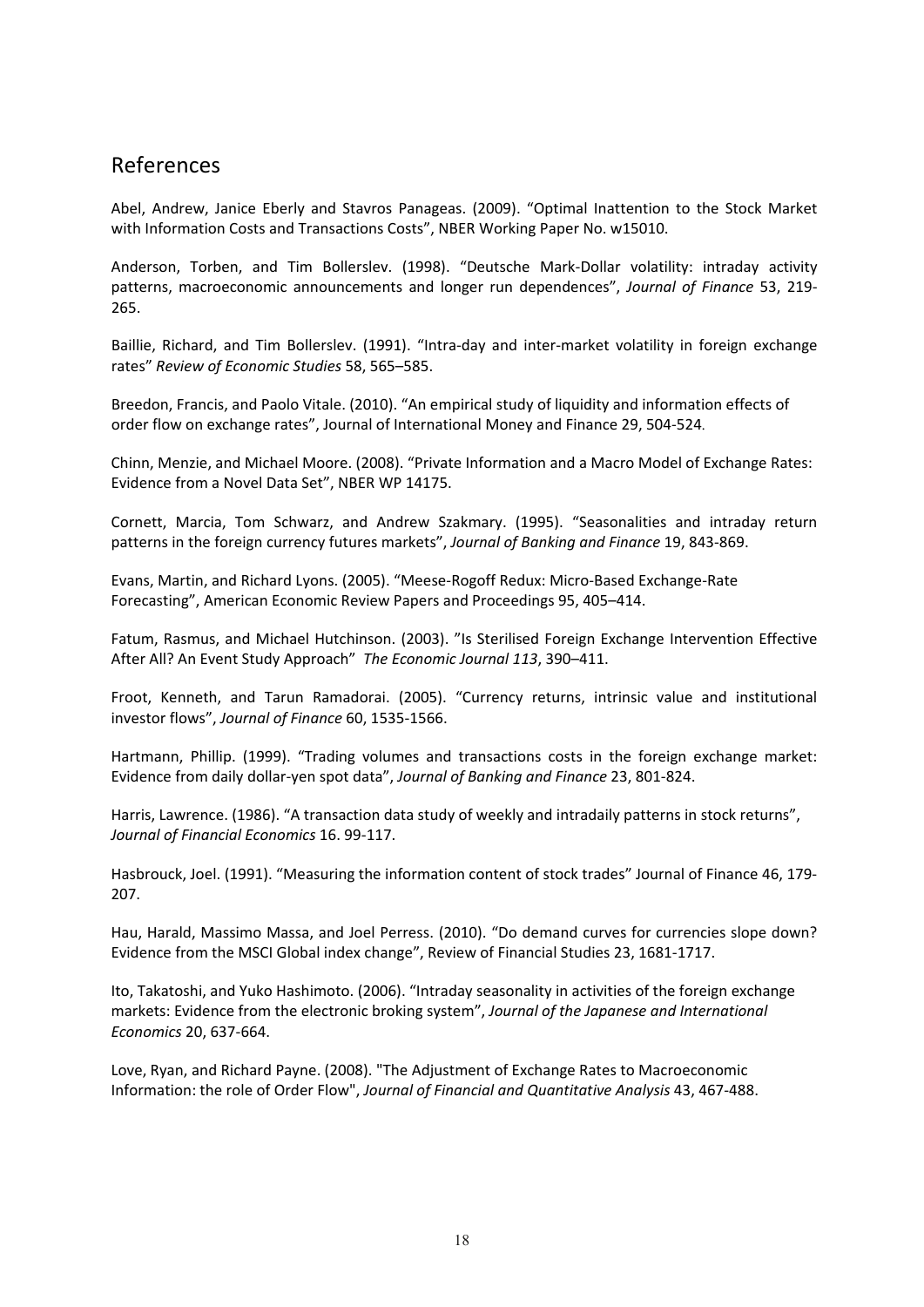## References

Abel, Andrew, Janice Eberly and Stavros Panageas. (2009). "Optimal Inattention to the Stock Market with Information Costs and Transactions Costs", NBER Working Paper No. w15010.

Anderson, Torben, and Tim Bollerslev. (1998). "Deutsche Mark‐Dollar volatility: intraday activity patterns, macroeconomic announcements and longer run dependences", *Journal of Finance* 53, 219‐ 265.

Baillie, Richard, and Tim Bollerslev. (1991). "Intra‐day and inter‐market volatility in foreign exchange rates" *Review of Economic Studies* 58, 565–585.

Breedon, Francis, and Paolo Vitale. (2010). "An empirical study of liquidity and information effects of order flow on exchange rates", Journal of International Money and Finance 29, 504‐524.

Chinn, Menzie, and Michael Moore. (2008). "Private Information and a Macro Model of Exchange Rates: Evidence from a Novel Data Set", NBER WP 14175.

Cornett, Marcia, Tom Schwarz, and Andrew Szakmary. (1995). "Seasonalities and intraday return patterns in the foreign currency futures markets", *Journal of Banking and Finance* 19, 843‐869.

Evans, Martin, and Richard Lyons. (2005). "Meese‐Rogoff Redux: Micro‐Based Exchange‐Rate Forecasting", American Economic Review Papers and Proceedings 95, 405–414.

Fatum, Rasmus, and Michael Hutchinson. (2003). "Is Sterilised Foreign Exchange Intervention Effective After All? An Event Study Approach" *The Economic Journal 113*, 390–411.

Froot, Kenneth, and Tarun Ramadorai. (2005). "Currency returns, intrinsic value and institutional investor flows", *Journal of Finance* 60, 1535‐1566.

Hartmann, Phillip. (1999). "Trading volumes and transactions costs in the foreign exchange market: Evidence from daily dollar‐yen spot data", *Journal of Banking and Finance* 23, 801‐824.

Harris, Lawrence. (1986). "A transaction data study of weekly and intradaily patterns in stock returns", *Journal of Financial Economics* 16. 99‐117.

Hasbrouck, Joel. (1991). "Measuring the information content of stock trades" Journal of Finance 46, 179‐ 207.

Hau, Harald, Massimo Massa, and Joel Perress. (2010). "Do demand curves for currencies slope down? Evidence from the MSCI Global index change", Review of Financial Studies 23, 1681‐1717.

Ito, Takatoshi, and Yuko Hashimoto. (2006). "Intraday seasonality in activities of the foreign exchange markets: Evidence from the electronic broking system", *Journal of the Japanese and International Economics* 20, 637‐664.

Love, Ryan, and Richard Payne. (2008). "The Adjustment of Exchange Rates to Macroeconomic Information: the role of Order Flow", *Journal of Financial and Quantitative Analysis* 43, 467‐488.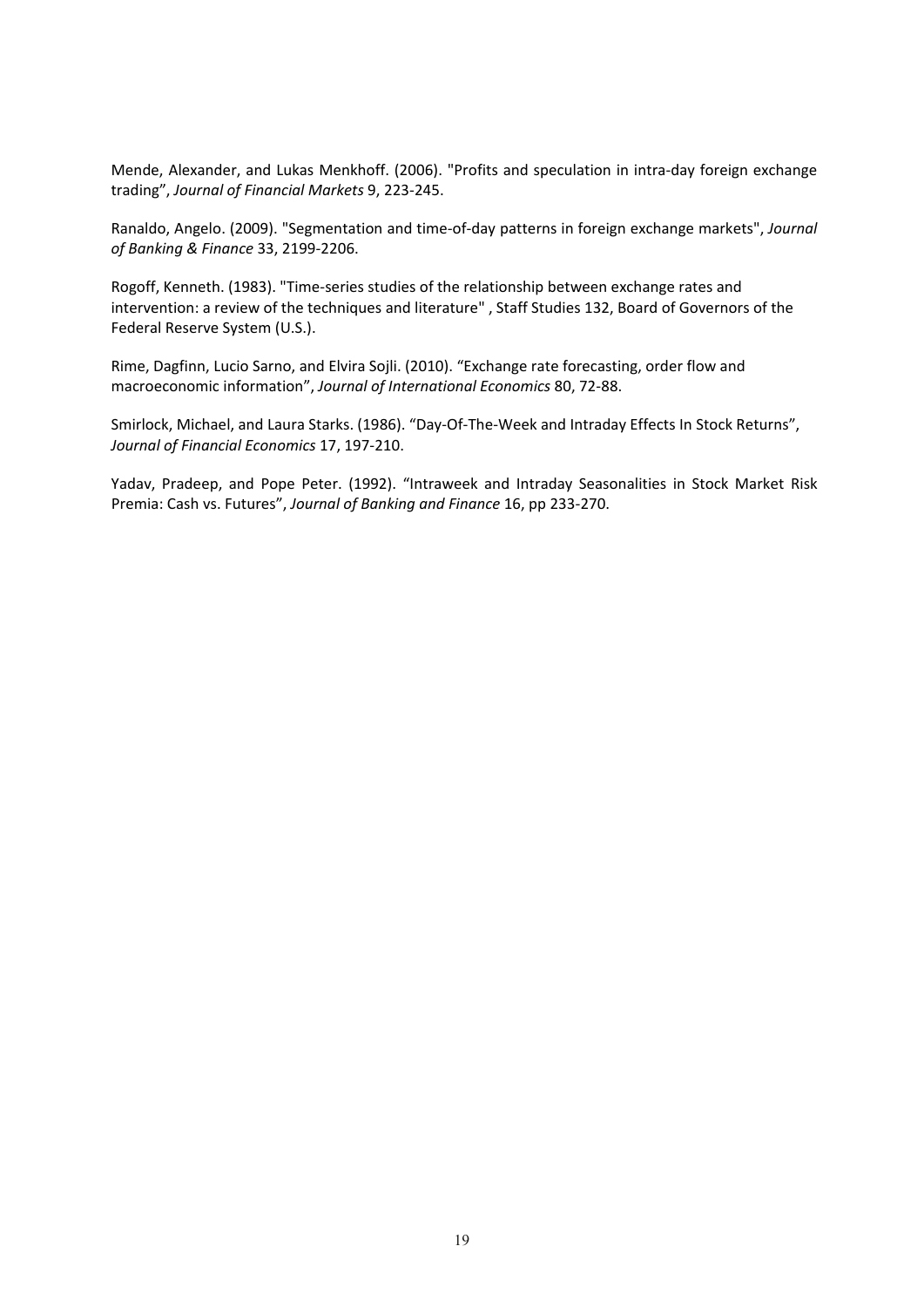Mende, Alexander, and Lukas Menkhoff. (2006). "Profits and speculation in intra‐day foreign exchange trading", *Journal of Financial Markets* 9, 223‐245.

Ranaldo, Angelo. (2009). "Segmentation and time‐of‐day patterns in foreign exchange markets", *Journal of Banking & Finance* 33, 2199‐2206.

Rogoff, Kenneth. (1983). "Time‐series studies of the relationship between exchange rates and intervention: a review of the techniques and literature" , Staff Studies 132, Board of Governors of the Federal Reserve System (U.S.).

Rime, Dagfinn, Lucio Sarno, and Elvira Sojli. (2010). "Exchange rate forecasting, order flow and macroeconomic information", *Journal of International Economics* 80, 72‐88.

Smirlock, Michael, and Laura Starks. (1986). "Day‐Of‐The‐Week and Intraday Effects In Stock Returns", *Journal of Financial Economics* 17, 197‐210.

Yadav, Pradeep, and Pope Peter. (1992). "Intraweek and Intraday Seasonalities in Stock Market Risk Premia: Cash vs. Futures", *Journal of Banking and Finance* 16, pp 233‐270.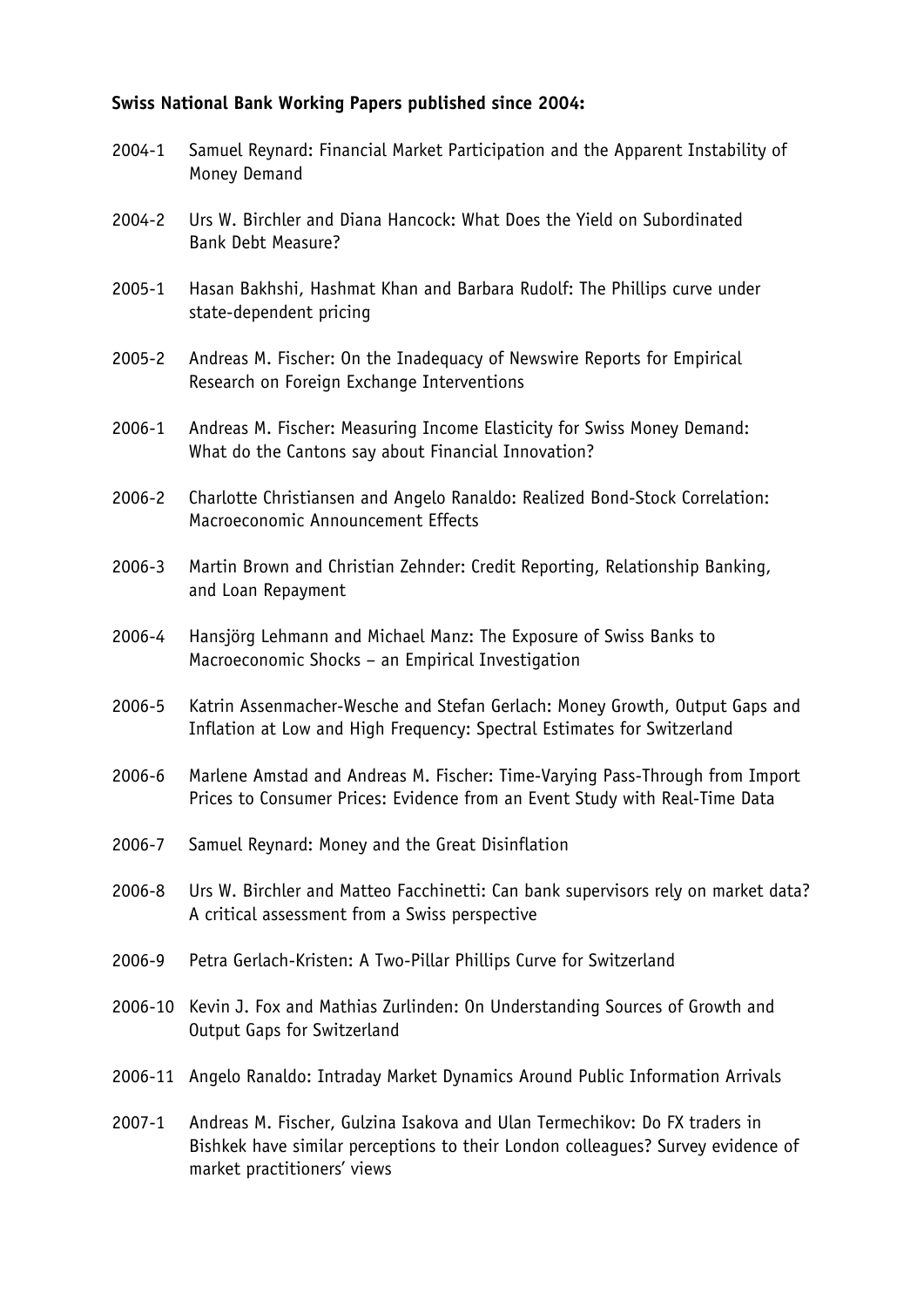## **Swiss National Bank Working Papers published since 2004:**

2004-1 Samuel Reynard: Financial Market Participation and the Apparent Instability of Money Demand 2004-2 Urs W. Birchler and Diana Hancock: What Does the Yield on Subordinated Bank Debt Measure? 2005-1 Hasan Bakhshi, Hashmat Khan and Barbara Rudolf: The Phillips curve under state-dependent pricing 2005-2 Andreas M. Fischer: On the Inadequacy of Newswire Reports for Empirical Research on Foreign Exchange Interventions 2006-1 Andreas M. Fischer: Measuring Income Elasticity for Swiss Money Demand: What do the Cantons say about Financial Innovation? 2006-2 Charlotte Christiansen and Angelo Ranaldo: Realized Bond-Stock Correlation: Macroeconomic Announcement Effects 2006-3 Martin Brown and Christian Zehnder: Credit Reporting, Relationship Banking, and Loan Repayment 2006-4 Hansjörg Lehmann and Michael Manz: The Exposure of Swiss Banks to Macroeconomic Shocks – an Empirical Investigation 2006-5 Katrin Assenmacher-Wesche and Stefan Gerlach: Money Growth, Output Gaps and Inflation at Low and High Frequency: Spectral Estimates for Switzerland 2006-6 Marlene Amstad and Andreas M. Fischer: Time-Varying Pass-Through from Import Prices to Consumer Prices: Evidence from an Event Study with Real-Time Data 2006-7 Samuel Reynard: Money and the Great Disinflation 2006-8 Urs W. Birchler and Matteo Facchinetti: Can bank supervisors rely on market data? A critical assessment from a Swiss perspective 2006-9 Petra Gerlach-Kristen: A Two-Pillar Phillips Curve for Switzerland 2006-10 Kevin J. Fox and Mathias Zurlinden: On Understanding Sources of Growth and Output Gaps for Switzerland 2006-11 Angelo Ranaldo: Intraday Market Dynamics Around Public Information Arrivals 2007-1 Andreas M. Fischer, Gulzina Isakova and Ulan Termechikov: Do FX traders in Bishkek have similar perceptions to their London colleagues? Survey evidence of market practitioners' views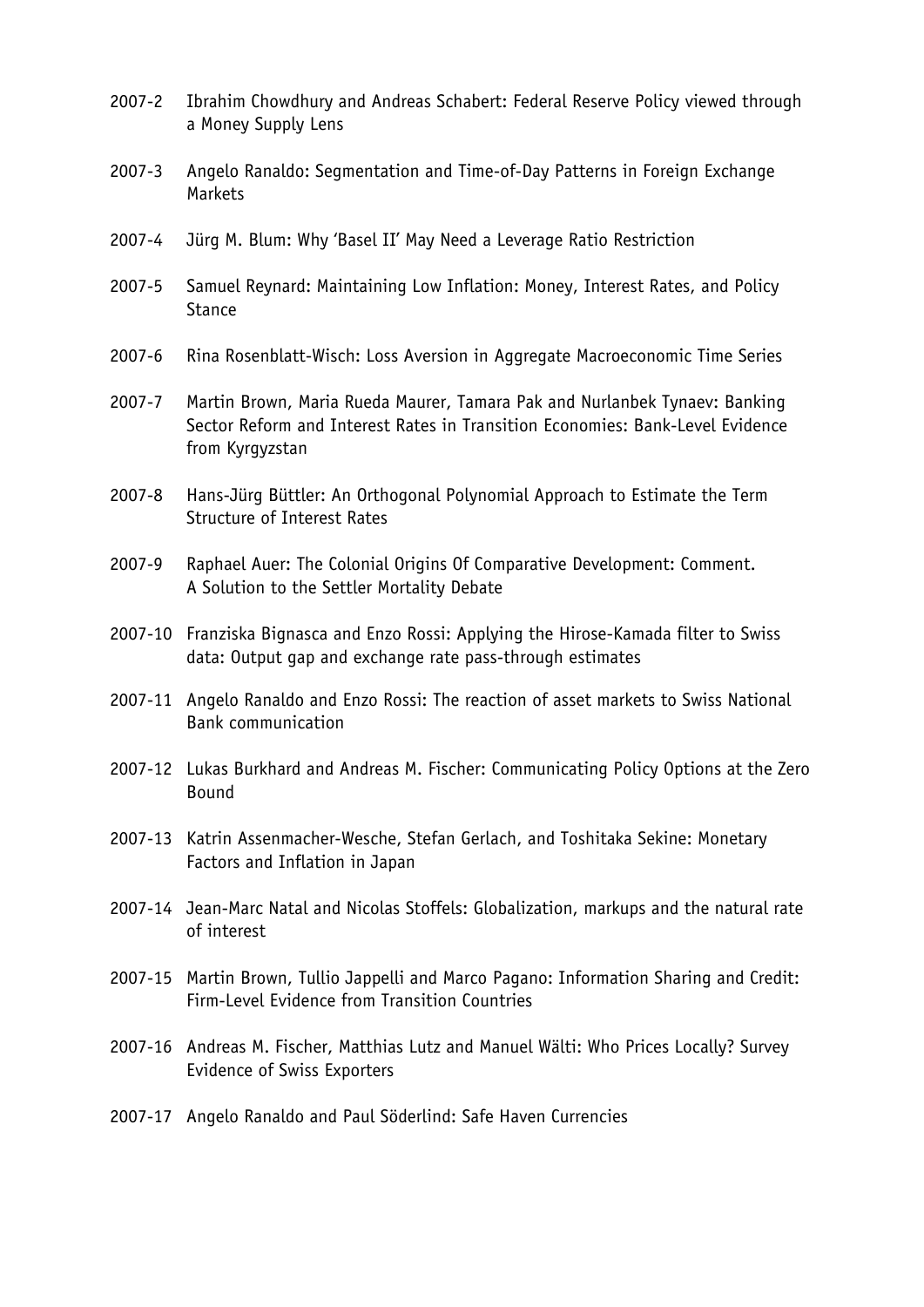- 2007-2 Ibrahim Chowdhury and Andreas Schabert: Federal Reserve Policy viewed through a Money Supply Lens
- 2007-3 Angelo Ranaldo: Segmentation and Time-of-Day Patterns in Foreign Exchange Markets
- 2007-4 Jürg M. Blum: Why 'Basel II' May Need a Leverage Ratio Restriction
- 2007-5 Samuel Reynard: Maintaining Low Inflation: Money, Interest Rates, and Policy **Stance**
- 2007-6 Rina Rosenblatt-Wisch: Loss Aversion in Aggregate Macroeconomic Time Series
- 2007-7 Martin Brown, Maria Rueda Maurer, Tamara Pak and Nurlanbek Tynaev: Banking Sector Reform and Interest Rates in Transition Economies: Bank-Level Evidence from Kyrgyzstan
- 2007-8 Hans-Jürg Büttler: An Orthogonal Polynomial Approach to Estimate the Term Structure of Interest Rates
- 2007-9 Raphael Auer: The Colonial Origins Of Comparative Development: Comment. A Solution to the Settler Mortality Debate
- 2007-10 Franziska Bignasca and Enzo Rossi: Applying the Hirose-Kamada filter to Swiss data: Output gap and exchange rate pass-through estimates
- 2007-11 Angelo Ranaldo and Enzo Rossi: The reaction of asset markets to Swiss National Bank communication
- 2007-12 Lukas Burkhard and Andreas M. Fischer: Communicating Policy Options at the Zero Bound
- 2007-13 Katrin Assenmacher-Wesche, Stefan Gerlach, and Toshitaka Sekine: Monetary Factors and Inflation in Japan
- 2007-14 Jean-Marc Natal and Nicolas Stoffels: Globalization, markups and the natural rate of interest
- 2007-15 Martin Brown, Tullio Jappelli and Marco Pagano: Information Sharing and Credit: Firm-Level Evidence from Transition Countries
- 2007-16 Andreas M. Fischer, Matthias Lutz and Manuel Wälti: Who Prices Locally? Survey Evidence of Swiss Exporters
- 2007-17 Angelo Ranaldo and Paul Söderlind: Safe Haven Currencies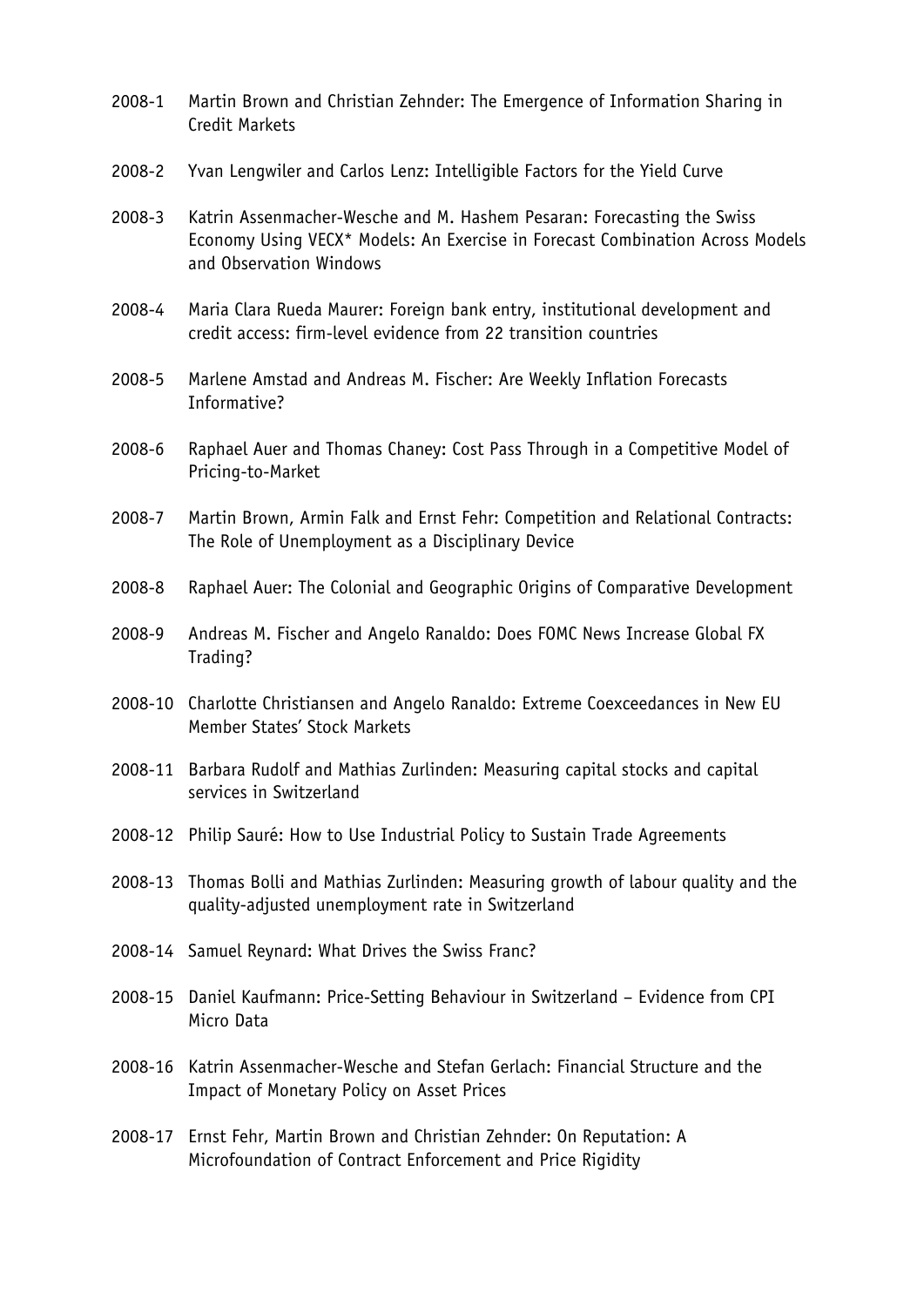- 2008-1 Martin Brown and Christian Zehnder: The Emergence of Information Sharing in Credit Markets
- 2008-2 Yvan Lengwiler and Carlos Lenz: Intelligible Factors for the Yield Curve
- 2008-3 Katrin Assenmacher-Wesche and M. Hashem Pesaran: Forecasting the Swiss Economy Using VECX\* Models: An Exercise in Forecast Combination Across Models and Observation Windows
- 2008-4 Maria Clara Rueda Maurer: Foreign bank entry, institutional development and credit access: firm-level evidence from 22 transition countries
- 2008-5 Marlene Amstad and Andreas M. Fischer: Are Weekly Inflation Forecasts Informative?
- 2008-6 Raphael Auer and Thomas Chaney: Cost Pass Through in a Competitive Model of Pricing-to-Market
- 2008-7 Martin Brown, Armin Falk and Ernst Fehr: Competition and Relational Contracts: The Role of Unemployment as a Disciplinary Device
- 2008-8 Raphael Auer: The Colonial and Geographic Origins of Comparative Development
- 2008-9 Andreas M. Fischer and Angelo Ranaldo: Does FOMC News Increase Global FX Trading?
- 2008-10 Charlotte Christiansen and Angelo Ranaldo: Extreme Coexceedances in New EU Member States' Stock Markets
- 2008-11 Barbara Rudolf and Mathias Zurlinden: Measuring capital stocks and capital services in Switzerland
- 2008-12 Philip Sauré: How to Use Industrial Policy to Sustain Trade Agreements
- 2008-13 Thomas Bolli and Mathias Zurlinden: Measuring growth of labour quality and the quality-adjusted unemployment rate in Switzerland
- 2008-14 Samuel Reynard: What Drives the Swiss Franc?
- 2008-15 Daniel Kaufmann: Price-Setting Behaviour in Switzerland Evidence from CPI Micro Data
- 2008-16 Katrin Assenmacher-Wesche and Stefan Gerlach: Financial Structure and the Impact of Monetary Policy on Asset Prices
- 2008-17 Ernst Fehr, Martin Brown and Christian Zehnder: On Reputation: A Microfoundation of Contract Enforcement and Price Rigidity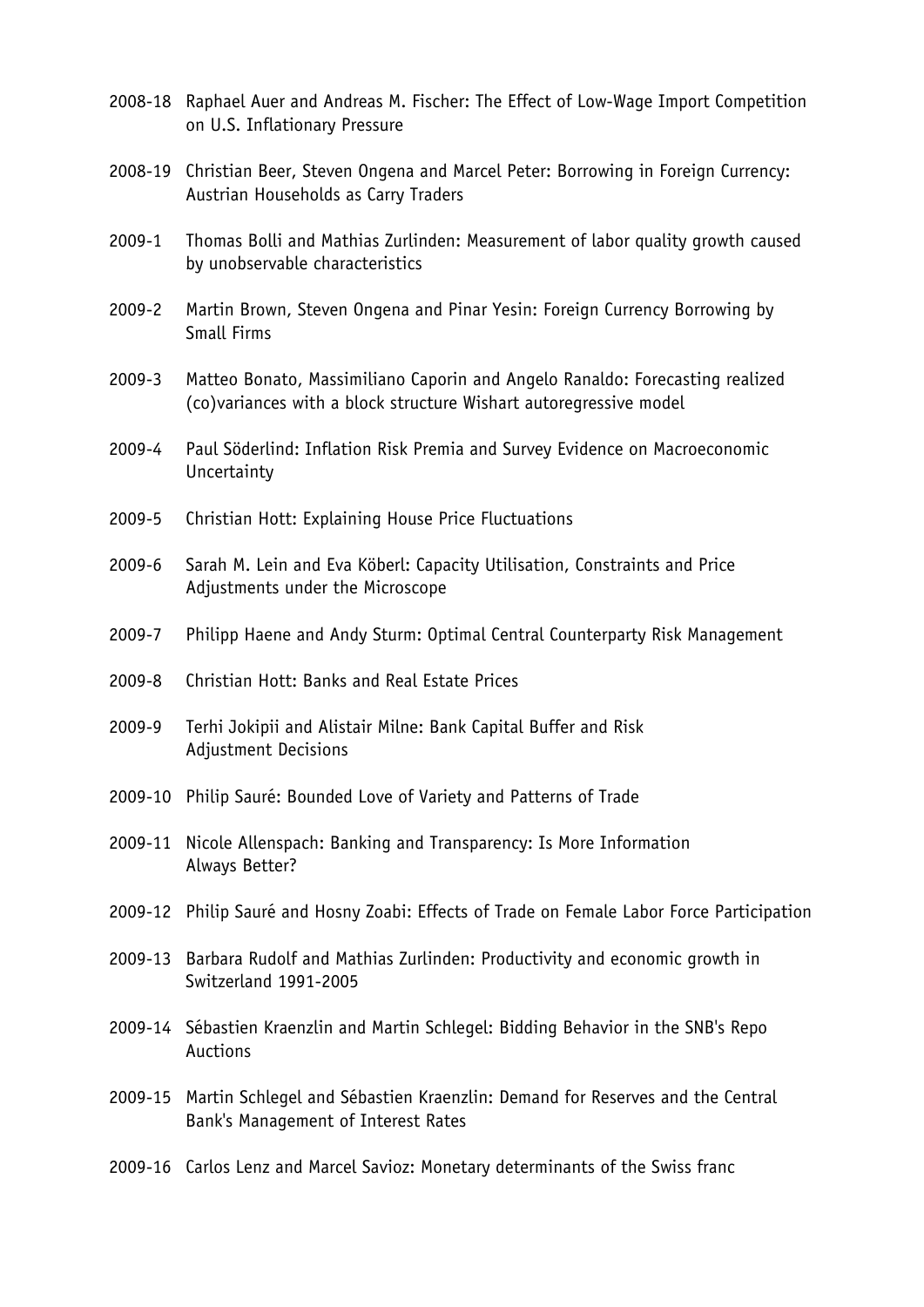- 2008-18 Raphael Auer and Andreas M. Fischer: The Effect of Low-Wage Import Competition on U.S. Inflationary Pressure
- 2008-19 Christian Beer, Steven Ongena and Marcel Peter: Borrowing in Foreign Currency: Austrian Households as Carry Traders
- 2009-1 Thomas Bolli and Mathias Zurlinden: Measurement of labor quality growth caused by unobservable characteristics
- 2009-2 Martin Brown, Steven Ongena and Pinar Yesin: Foreign Currency Borrowing by Small Firms
- 2009-3 Matteo Bonato, Massimiliano Caporin and Angelo Ranaldo: Forecasting realized (co)variances with a block structure Wishart autoregressive model
- 2009-4 Paul Söderlind: Inflation Risk Premia and Survey Evidence on Macroeconomic **Uncertainty**
- 2009-5 Christian Hott: Explaining House Price Fluctuations
- 2009-6 Sarah M. Lein and Eva Köberl: Capacity Utilisation, Constraints and Price Adjustments under the Microscope
- 2009-7 Philipp Haene and Andy Sturm: Optimal Central Counterparty Risk Management
- 2009-8 Christian Hott: Banks and Real Estate Prices
- 2009-9 Terhi Jokipii and Alistair Milne: Bank Capital Buffer and Risk Adjustment Decisions
- 2009-10 Philip Sauré: Bounded Love of Variety and Patterns of Trade
- 2009-11 Nicole Allenspach: Banking and Transparency: Is More Information Always Better?
- 2009-12 Philip Sauré and Hosny Zoabi: Effects of Trade on Female Labor Force Participation
- 2009-13 Barbara Rudolf and Mathias Zurlinden: Productivity and economic growth in Switzerland 1991-2005
- 2009-14 Sébastien Kraenzlin and Martin Schlegel: Bidding Behavior in the SNB's Repo Auctions
- 2009-15 Martin Schlegel and Sébastien Kraenzlin: Demand for Reserves and the Central Bank's Management of Interest Rates
- 2009-16 Carlos Lenz and Marcel Savioz: Monetary determinants of the Swiss franc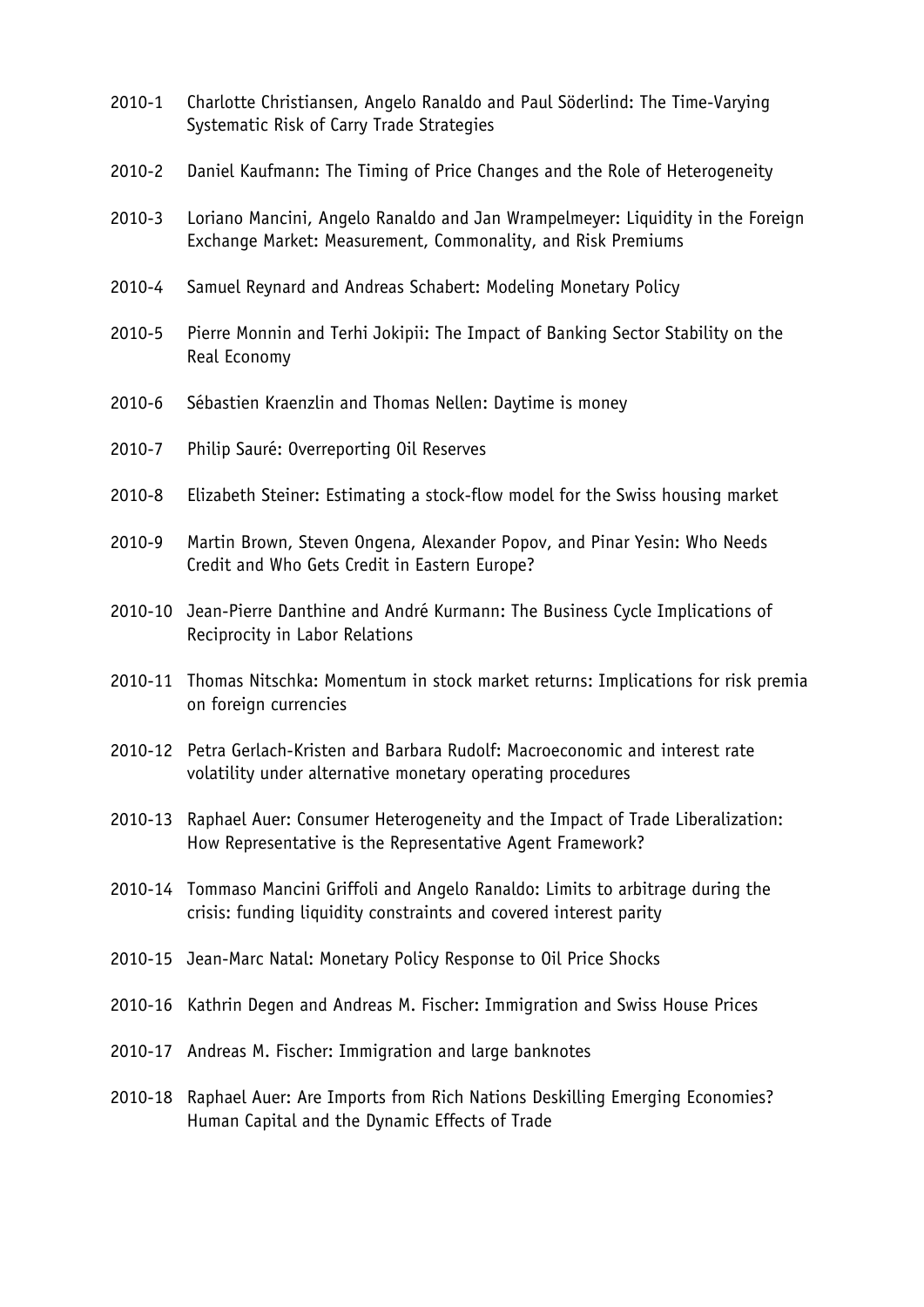- 2010-1 Charlotte Christiansen, Angelo Ranaldo and Paul Söderlind: The Time-Varying Systematic Risk of Carry Trade Strategies
- 2010-2 Daniel Kaufmann: The Timing of Price Changes and the Role of Heterogeneity
- 2010-3 Loriano Mancini, Angelo Ranaldo and Jan Wrampelmeyer: Liquidity in the Foreign Exchange Market: Measurement, Commonality, and Risk Premiums
- 2010-4 Samuel Reynard and Andreas Schabert: Modeling Monetary Policy
- 2010-5 Pierre Monnin and Terhi Jokipii: The Impact of Banking Sector Stability on the Real Economy
- 2010-6 Sébastien Kraenzlin and Thomas Nellen: Daytime is money
- 2010-7 Philip Sauré: Overreporting Oil Reserves
- 2010-8 Elizabeth Steiner: Estimating a stock-flow model for the Swiss housing market
- 2010-9 Martin Brown, Steven Ongena, Alexander Popov, and Pinar Yesin: Who Needs Credit and Who Gets Credit in Eastern Europe?
- 2010-10 Jean-Pierre Danthine and André Kurmann: The Business Cycle Implications of Reciprocity in Labor Relations
- 2010-11 Thomas Nitschka: Momentum in stock market returns: Implications for risk premia on foreign currencies
- 2010-12 Petra Gerlach-Kristen and Barbara Rudolf: Macroeconomic and interest rate volatility under alternative monetary operating procedures
- 2010-13 Raphael Auer: Consumer Heterogeneity and the Impact of Trade Liberalization: How Representative is the Representative Agent Framework?
- 2010-14 Tommaso Mancini Griffoli and Angelo Ranaldo: Limits to arbitrage during the crisis: funding liquidity constraints and covered interest parity
- 2010-15 Jean-Marc Natal: Monetary Policy Response to Oil Price Shocks
- 2010-16 Kathrin Degen and Andreas M. Fischer: Immigration and Swiss House Prices
- 2010-17 Andreas M. Fischer: Immigration and large banknotes
- 2010-18 Raphael Auer: Are Imports from Rich Nations Deskilling Emerging Economies? Human Capital and the Dynamic Effects of Trade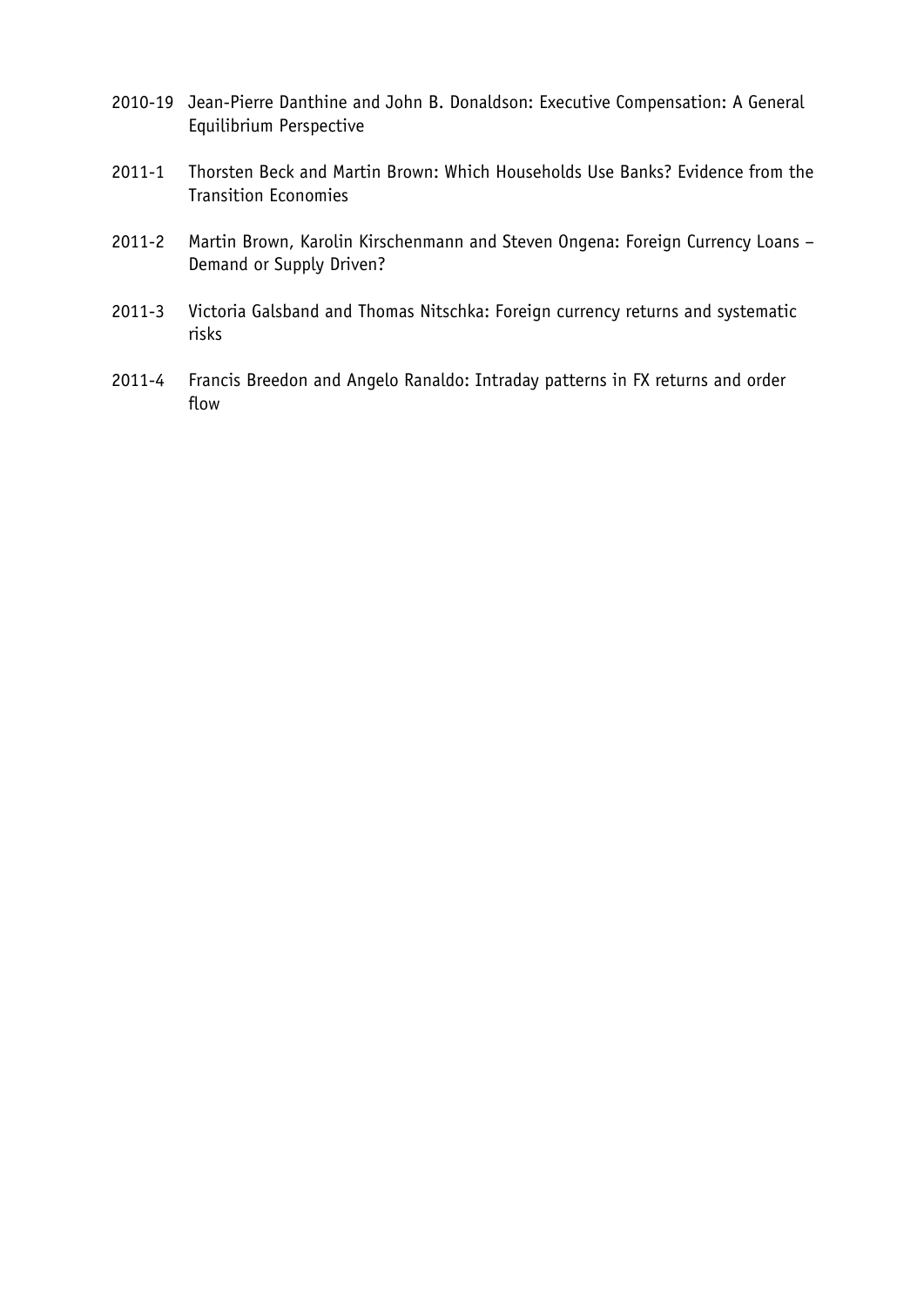- 2010-19 Jean-Pierre Danthine and John B. Donaldson: Executive Compensation: A General Equilibrium Perspective
- 2011-1 Thorsten Beck and Martin Brown: Which Households Use Banks? Evidence from the Transition Economies
- 2011-2 Martin Brown, Karolin Kirschenmann and Steven Ongena: Foreign Currency Loans Demand or Supply Driven?
- 2011-3 Victoria Galsband and Thomas Nitschka: Foreign currency returns and systematic risks
- 2011-4 Francis Breedon and Angelo Ranaldo: Intraday patterns in FX returns and order flow